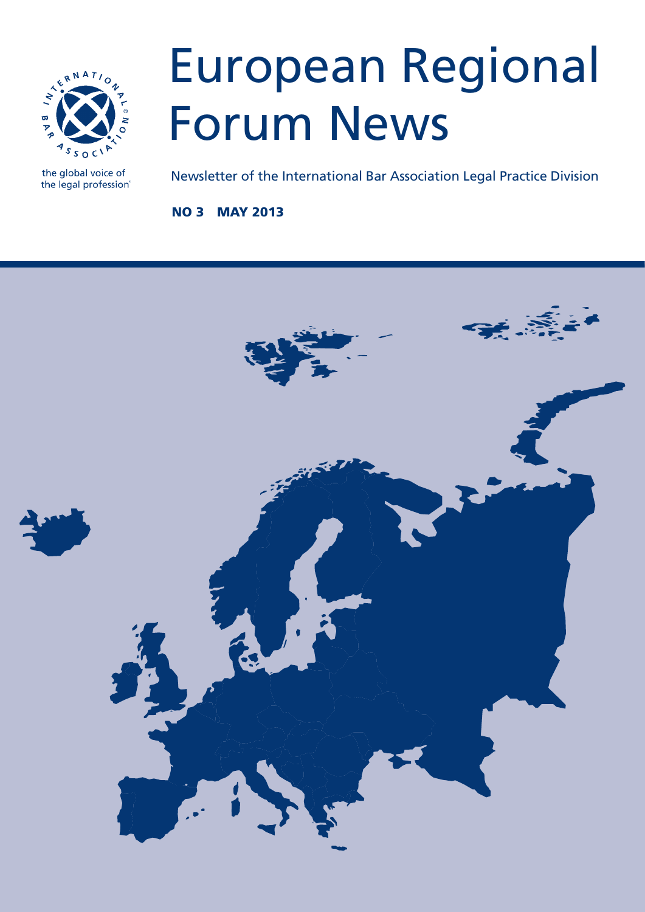

the global voice of the legal profession®

## European Regional Forum News

Newsletter of the International Bar Association Legal Practice Division

no 3 may 2013

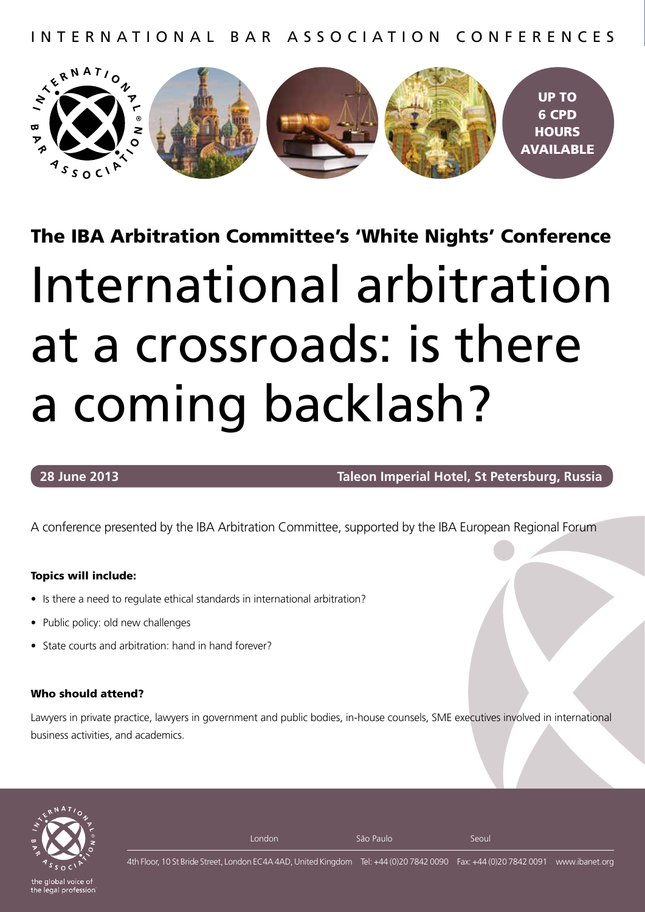international bar association conferences



The IBA Arbitration Committee's 'White Nights' Conference

# international arbitration at a crossroads: is there a coming backlash?

#### **28 June 2013 Taleon Imperial Hotel, St Petersburg, Russia**

A conference presented by the IBA Arbitration Committee, supported by the IBA European Regional Forum

#### Topics will include:

- Is there a need to regulate ethical standards in international arbitration?
- Public policy: old new challenges
- State courts and arbitration: hand in hand forever?

#### Who should attend?

Lawyers in private practice, lawyers in government and public bodies, in-house counsels, SME executives involved in international business activities, and academics.



the legal profession

London **São Paulo** São Paulo Seoul

4th Floor, 10 St Bride Street, London EC4A 4AD, United Kingdom Tel: +44 (0)20 7842 0090 Fax: +44 (0)20 7842 0091 www.ibanet.org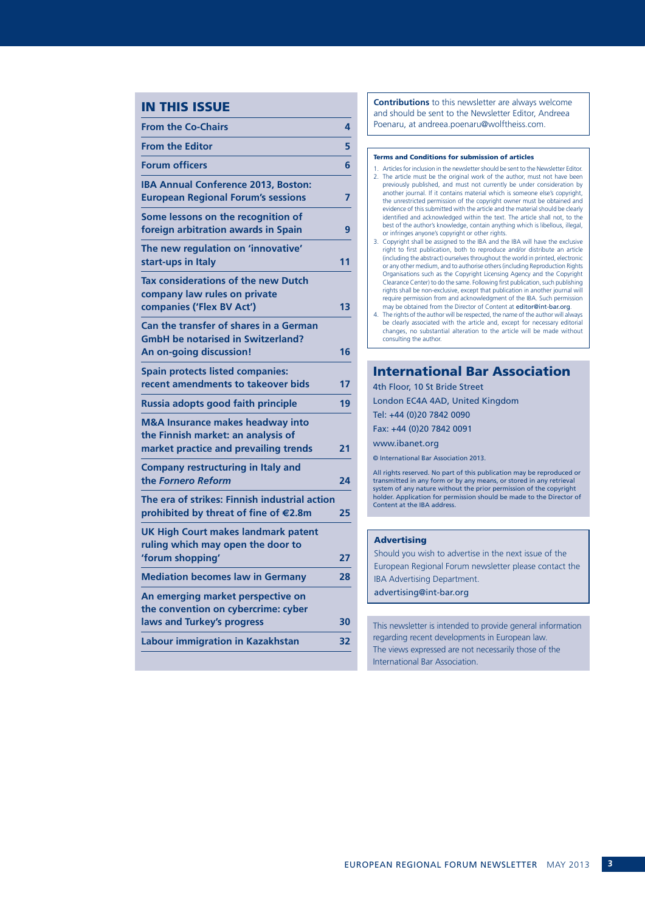#### IN THIS ISSUE

| <b>From the Co-Chairs</b>                                                                                       | 4  |
|-----------------------------------------------------------------------------------------------------------------|----|
| <b>From the Editor</b>                                                                                          | 5  |
| <b>Forum officers</b>                                                                                           | 6  |
| <b>IBA Annual Conference 2013, Boston:</b><br><b>European Regional Forum's sessions</b>                         | 7  |
| Some lessons on the recognition of<br>foreign arbitration awards in Spain                                       | 9  |
| The new regulation on 'innovative'<br>start-ups in Italy                                                        | 11 |
| <b>Tax considerations of the new Dutch</b><br>company law rules on private<br>companies ('Flex BV Act')         | 13 |
| Can the transfer of shares in a German<br><b>GmbH be notarised in Switzerland?</b><br>An on-going discussion!   | 16 |
| <b>Spain protects listed companies:</b><br>recent amendments to takeover bids                                   | 17 |
| Russia adopts good faith principle                                                                              | 19 |
| M&A Insurance makes headway into<br>the Finnish market: an analysis of<br>market practice and prevailing trends | 21 |
| <b>Company restructuring in Italy and</b><br>the Fornero Reform                                                 | 24 |
| The era of strikes: Finnish industrial action<br>prohibited by threat of fine of €2.8m                          | 25 |
| <b>UK High Court makes landmark patent</b><br>ruling which may open the door to<br>'forum shopping'             | 27 |
| <b>Mediation becomes law in Germany</b>                                                                         | 28 |
| An emerging market perspective on<br>the convention on cybercrime: cyber                                        |    |
| laws and Turkey's progress                                                                                      | 30 |
| Labour immigration in Kazakhstan                                                                                | 32 |
|                                                                                                                 |    |

**Contributions** to this newsletter are always welcome and should be sent to the Newsletter Editor, Andreea Poenaru, at andreea.poenaru@wolftheiss.com.

#### Terms and Conditions for submission of articles

- 1. Articles for inclusion in the newsletter should be sent to the Newsletter Editor. 2. The article must be the original work of the author, must not have been previously published, and must not currently be under consideration by another journal. If it contains material which is someone else's copyright, the unrestricted permission of the copyright owner must be obtained and evidence of this submitted with the article and the material should be clearly identified and acknowledged within the text. The article shall not, to the best of the author's knowledge, contain anything which is libellous, illegal, or infringes anyone's copyright or other rights.
- 3. Copyright shall be assigned to the IBA and the IBA will have the exclusive right to first publication, both to reproduce and/or distribute an article (including the abstract) ourselves throughout the world in printed, electronic or any other medium, and to authorise others (including Reproduction Rights Organisations such as the Copyright Licensing Agency and the Copyright Clearance Center) to do the same. Following first publication, such publishing rights shall be non-exclusive, except that publication in another journal will require permission from and acknowledgment of the IBA. Such permission may be obtained from the Director of Content at editor@int-bar.org.
- 4. The rights of the author will be respected, the name of the author will always be clearly associated with the article and, except for necessary editorial changes, no substantial alteration to the article will be made without consulting the author.

#### International Bar Association

4th Floor, 10 St Bride Street London EC4A 4AD, United Kingdom Tel: +44 (0)20 7842 0090 Fax: +44 (0)20 7842 0091 www.ibanet.org © International Bar Association 2013. All rights reserved. No part of this publication may be reproduced or

transmitted in any form or by any means, or stored in any retrieval system of any nature without the prior permission of the copyright holder. Application for permission should be made to the Director of Content at the IBA address.

#### Advertising

Should you wish to advertise in the next issue of the European Regional Forum newsletter please contact the IBA Advertising Department. advertising@int-bar.org

This newsletter is intended to provide general information regarding recent developments in European law. The views expressed are not necessarily those of the International Bar Association.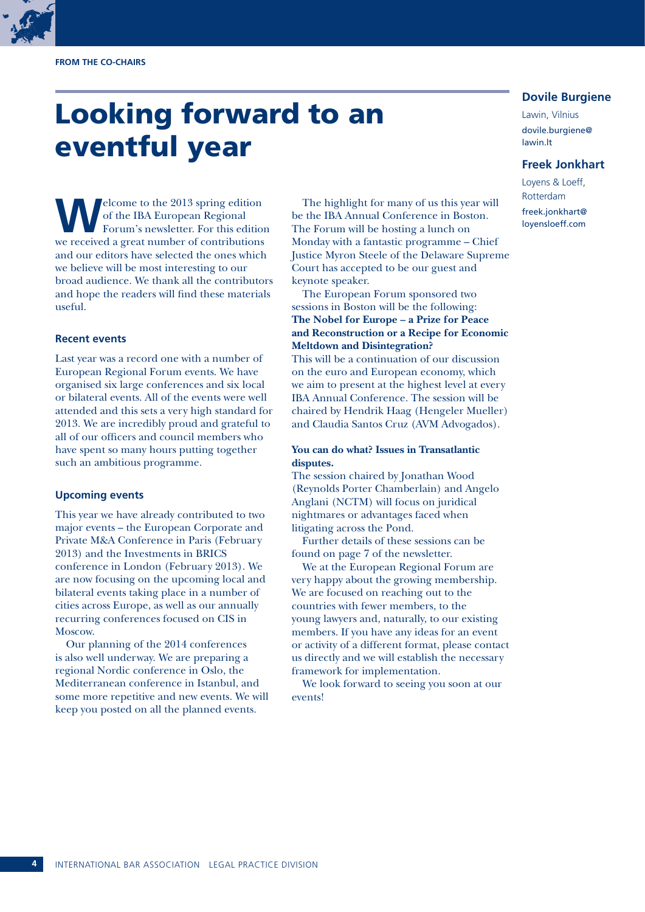#### **from the Co-chairs**

### Looking forward to an eventful year

**W**elcome to the 2013 spring edition of the IBA European Regional Forum's newsletter. For this edition we received a great number of contributions and our editors have selected the ones which we believe will be most interesting to our broad audience. We thank all the contributors and hope the readers will find these materials useful.

#### **Recent events**

Last year was a record one with a number of European Regional Forum events. We have organised six large conferences and six local or bilateral events. All of the events were well attended and this sets a very high standard for 2013. We are incredibly proud and grateful to all of our officers and council members who have spent so many hours putting together such an ambitious programme.

#### **Upcoming events**

This year we have already contributed to two major events – the European Corporate and Private M&A Conference in Paris (February 2013) and the Investments in BRICS conference in London (February 2013). We are now focusing on the upcoming local and bilateral events taking place in a number of cities across Europe, as well as our annually recurring conferences focused on CIS in Moscow.

Our planning of the 2014 conferences is also well underway. We are preparing a regional Nordic conference in Oslo, the Mediterranean conference in Istanbul, and some more repetitive and new events. We will keep you posted on all the planned events.

The highlight for many of us this year will be the IBA Annual Conference in Boston. The Forum will be hosting a lunch on Monday with a fantastic programme – Chief Justice Myron Steele of the Delaware Supreme Court has accepted to be our guest and keynote speaker.

The European Forum sponsored two sessions in Boston will be the following: **The Nobel for Europe – a Prize for Peace and Reconstruction or a Recipe for Economic Meltdown and Disintegration?**

This will be a continuation of our discussion on the euro and European economy, which we aim to present at the highest level at every IBA Annual Conference. The session will be chaired by Hendrik Haag (Hengeler Mueller) and Claudia Santos Cruz (AVM Advogados).

#### **You can do what? Issues in Transatlantic disputes.**

The session chaired by Jonathan Wood (Reynolds Porter Chamberlain) and Angelo Anglani (NCTM) will focus on juridical nightmares or advantages faced when litigating across the Pond.

Further details of these sessions can be found on page 7 of the newsletter.

We at the European Regional Forum are very happy about the growing membership. We are focused on reaching out to the countries with fewer members, to the young lawyers and, naturally, to our existing members. If you have any ideas for an event or activity of a different format, please contact us directly and we will establish the necessary framework for implementation.

We look forward to seeing you soon at our events!

#### **Dovile Burgiene**

Lawin, Vilnius dovile.burgiene@ lawin.lt

#### **Freek Jonkhart**

Loyens & Loeff, Rotterdam freek.jonkhart@ loyensloeff.com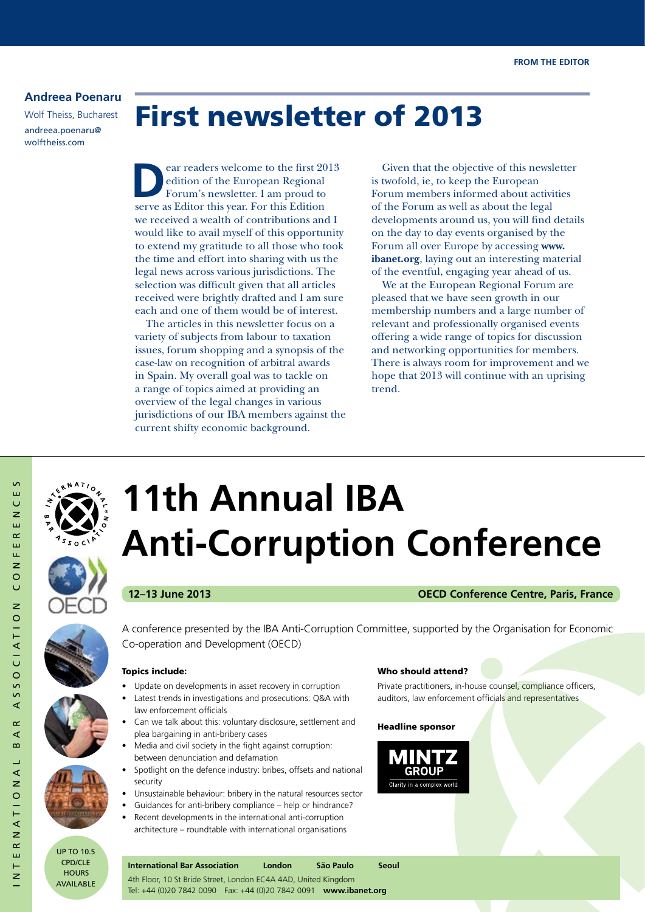#### **Andreea Poenaru**

Wolf Theiss, Bucharest andreea.poenaru@ wolftheiss.com

### First newsletter of 2013

ear readers welcome to the first 2013 edition of the European Regional Forum's newsletter. I am proud to serve as Editor this year. For this Edition we received a wealth of contributions and I would like to avail myself of this opportunity to extend my gratitude to all those who took the time and effort into sharing with us the legal news across various jurisdictions. The selection was difficult given that all articles received were brightly drafted and I am sure each and one of them would be of interest.

The articles in this newsletter focus on a variety of subjects from labour to taxation issues, forum shopping and a synopsis of the case-law on recognition of arbitral awards in Spain. My overall goal was to tackle on a range of topics aimed at providing an overview of the legal changes in various jurisdictions of our IBA members against the current shifty economic background.

Given that the objective of this newsletter is twofold, ie, to keep the European Forum members informed about activities of the Forum as well as about the legal developments around us, you will find details on the day to day events organised by the Forum all over Europe by accessing **www. ibanet.org**, laying out an interesting material of the eventful, engaging year ahead of us.

We at the European Regional Forum are pleased that we have seen growth in our membership numbers and a large number of relevant and professionally organised events offering a wide range of topics for discussion and networking opportunities for members. There is always room for improvement and we hope that 2013 will continue with an uprising trend.



## **11th Annual IBA Anti-Corruption Conference**

#### **12–13 June 2013 OECD Conference Centre, Paris, France**





international bar association conferences

∢  $\alpha$ ⋖ ഹ ⊐ ∢

 $\overline{z}$ 

 $\circ$  $\frac{1}{1}$ ्<br>द  $\overline{z}$  $\sim$ ш  $\overline{z}$ 

SSOCIATIO

S Ш  $\cup$  $\overline{z}$ ш  $\sim$ Ш μ.  $\overline{z}$  $\circ$  $\cup$  $\overline{z}$ 





up to 10.5 cpD/cle **HOURS** aVailable A conference presented by the IBA Anti-Corruption Committee, supported by the Organisation for Economic Co-operation and Development (OECD)

#### Topics include:

- Update on developments in asset recovery in corruption
- Latest trends in investigations and prosecutions: Q&A with law enforcement officials
- Can we talk about this: voluntary disclosure, settlement and plea bargaining in anti-bribery cases
- Media and civil society in the fight against corruption: between denunciation and defamation
- Spotlight on the defence industry: bribes, offsets and national security
- Unsustainable behaviour: bribery in the natural resources sector
- Guidances for anti-bribery compliance help or hindrance?
- Recent developments in the international anti-corruption architecture – roundtable with international organisations

#### Who should attend?

Private practitioners, in-house counsel, compliance officers, auditors, law enforcement officials and representatives

#### Headline sponsor



**International Bar Association London São Paulo Seoul** 4th Floor, 10 St Bride Street, London EC4A 4AD, United Kingdom Tel: +44 (0)20 7842 0090 Fax: +44 (0)20 7842 0091 **www.ibanet.org**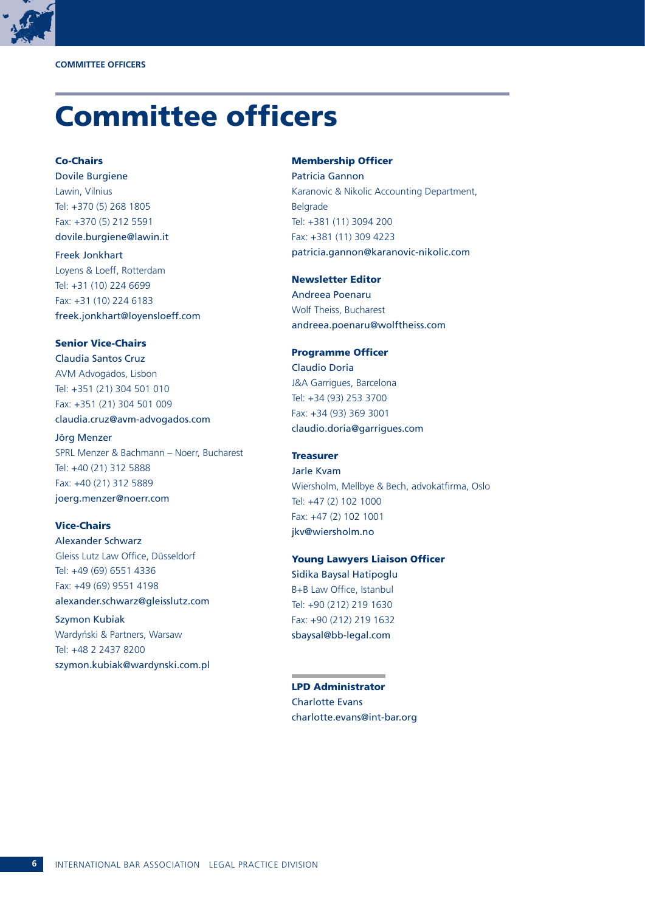

### Committee officers

Co-Chairs Dovile Burgiene Lawin, Vilnius Tel: +370 (5) 268 1805 Fax: +370 (5) 212 5591 dovile.burgiene@lawin.it

Freek Jonkhart Loyens & Loeff, Rotterdam Tel: +31 (10) 224 6699 Fax: +31 (10) 224 6183 freek.jonkhart@loyensloeff.com

#### Senior Vice-Chairs

Claudia Santos Cruz AVM Advogados, Lisbon Tel: +351 (21) 304 501 010 Fax: +351 (21) 304 501 009 claudia.cruz@avm-advogados.com

Jörg Menzer SPRL Menzer & Bachmann – Noerr, Bucharest Tel: +40 (21) 312 5888 Fax: +40 (21) 312 5889 joerg.menzer@noerr.com

#### Vice-Chairs

Alexander Schwarz Gleiss Lutz Law Office, Düsseldorf Tel: +49 (69) 6551 4336 Fax: +49 (69) 9551 4198 alexander.schwarz@gleisslutz.com

Szymon Kubiak Wardyński & Partners, Warsaw Tel: +48 2 2437 8200 szymon.kubiak@wardynski.com.pl

#### Membership Officer

Patricia Gannon Karanovic & Nikolic Accounting Department, Belgrade Tel: +381 (11) 3094 200 Fax: +381 (11) 309 4223 patricia.gannon@karanovic-nikolic.com

#### Newsletter Editor

Andreea Poenaru Wolf Theiss, Bucharest andreea.poenaru@wolftheiss.com

#### Programme Officer

Claudio Doria J&A Garrigues, Barcelona Tel: +34 (93) 253 3700 Fax: +34 (93) 369 3001 claudio.doria@garrigues.com

**Treasurer** Jarle Kvam Wiersholm, Mellbye & Bech, advokatfirma, Oslo Tel: +47 (2) 102 1000 Fax: +47 (2) 102 1001 jkv@wiersholm.no

#### Young Lawyers Liaison Officer Sidika Baysal Hatipoglu B+B Law Office, Istanbul Tel: +90 (212) 219 1630 Fax: +90 (212) 219 1632 sbaysal@bb-legal.com

LPD Administrator Charlotte Evans charlotte.evans@int-bar.org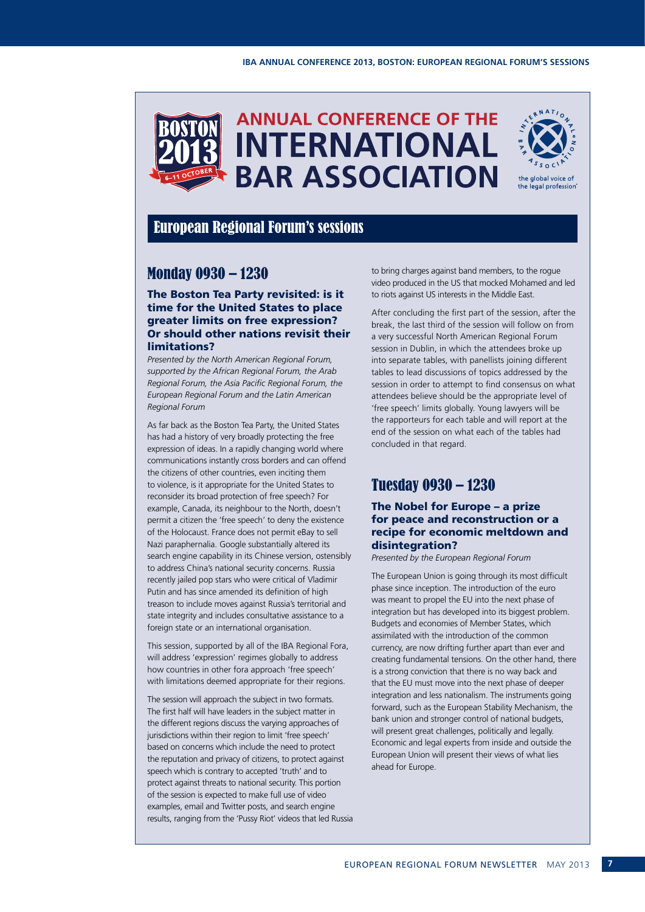



#### European Regional Forum's sessions

#### Monday 0930 – 1230

#### The Boston Tea Party revisited: is it time for the United States to place greater limits on free expression? Or should other nations revisit their limitations?

*Presented by the North American Regional Forum, supported by the African Regional Forum, the Arab Regional Forum, the Asia Pacific Regional Forum, the European Regional Forum and the Latin American Regional Forum*

As far back as the Boston Tea Party, the United States has had a history of very broadly protecting the free expression of ideas. In a rapidly changing world where communications instantly cross borders and can offend the citizens of other countries, even inciting them to violence, is it appropriate for the United States to reconsider its broad protection of free speech? For example, Canada, its neighbour to the North, doesn't permit a citizen the 'free speech' to deny the existence of the Holocaust. France does not permit eBay to sell Nazi paraphernalia. Google substantially altered its search engine capability in its Chinese version, ostensibly to address China's national security concerns. Russia recently jailed pop stars who were critical of Vladimir Putin and has since amended its definition of high treason to include moves against Russia's territorial and state integrity and includes consultative assistance to a foreign state or an international organisation.

This session, supported by all of the IBA Regional Fora, will address 'expression' regimes globally to address how countries in other fora approach 'free speech' with limitations deemed appropriate for their regions.

The session will approach the subject in two formats. The first half will have leaders in the subject matter in the different regions discuss the varying approaches of jurisdictions within their region to limit 'free speech' based on concerns which include the need to protect the reputation and privacy of citizens, to protect against speech which is contrary to accepted 'truth' and to protect against threats to national security. This portion of the session is expected to make full use of video examples, email and Twitter posts, and search engine results, ranging from the 'Pussy Riot' videos that led Russia to bring charges against band members, to the rogue video produced in the US that mocked Mohamed and led to riots against US interests in the Middle East.

After concluding the first part of the session, after the break, the last third of the session will follow on from a very successful North American Regional Forum session in Dublin, in which the attendees broke up into separate tables, with panellists joining different tables to lead discussions of topics addressed by the session in order to attempt to find consensus on what attendees believe should be the appropriate level of 'free speech' limits globally. Young lawyers will be the rapporteurs for each table and will report at the end of the session on what each of the tables had concluded in that regard.

#### Tuesday 0930 – 1230

#### The Nobel for Europe – a prize for peace and reconstruction or a recipe for economic meltdown and disintegration?

#### *Presented by the European Regional Forum*

The European Union is going through its most difficult phase since inception. The introduction of the euro was meant to propel the EU into the next phase of integration but has developed into its biggest problem. Budgets and economies of Member States, which assimilated with the introduction of the common currency, are now drifting further apart than ever and creating fundamental tensions. On the other hand, there is a strong conviction that there is no way back and that the EU must move into the next phase of deeper integration and less nationalism. The instruments going forward, such as the European Stability Mechanism, the bank union and stronger control of national budgets, will present great challenges, politically and legally. Economic and legal experts from inside and outside the European Union will present their views of what lies ahead for Europe.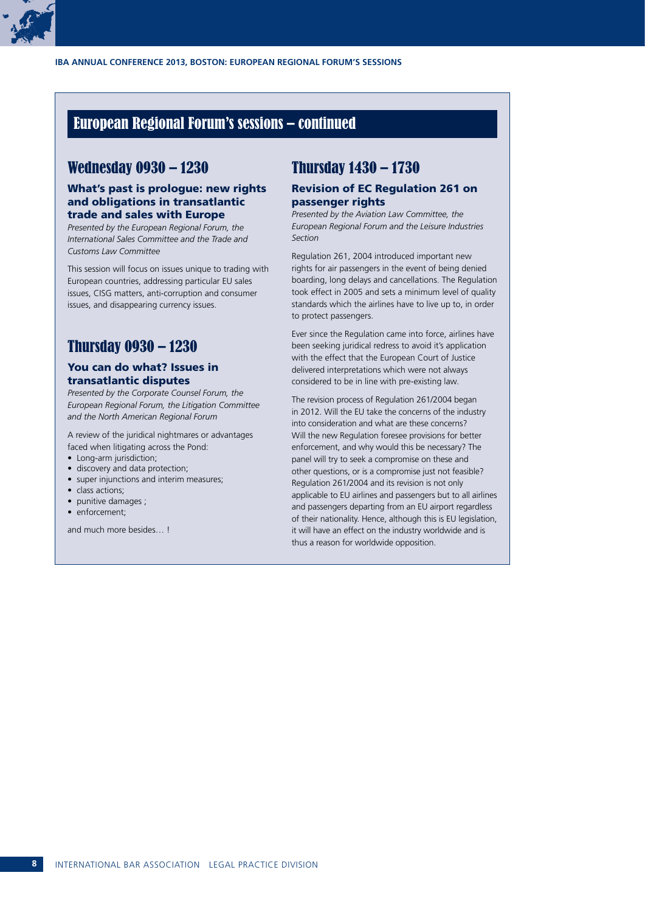

#### European Regional Forum's sessions – continued

#### Wednesday 0930 – 1230

#### What's past is prologue: new rights and obligations in transatlantic trade and sales with Europe

*Presented by the European Regional Forum, the International Sales Committee and the Trade and Customs Law Committee* 

This session will focus on issues unique to trading with European countries, addressing particular EU sales issues, CISG matters, anti-corruption and consumer issues, and disappearing currency issues.

#### Thursday 0930 – 1230

#### You can do what? Issues in transatlantic disputes

*Presented by the Corporate Counsel Forum, the European Regional Forum, the Litigation Committee and the North American Regional Forum* 

A review of the juridical nightmares or advantages faced when litigating across the Pond:

- Long-arm jurisdiction;
- discovery and data protection;
- super injunctions and interim measures;
- class actions:
- punitive damages ;
- enforcement;

and much more besides **I** 

#### Thursday 1430 – 1730

#### Revision of EC Regulation 261 on passenger rights

*Presented by the Aviation Law Committee, the European Regional Forum and the Leisure Industries Section*

Regulation 261, 2004 introduced important new rights for air passengers in the event of being denied boarding, long delays and cancellations. The Regulation took effect in 2005 and sets a minimum level of quality standards which the airlines have to live up to, in order to protect passengers.

Ever since the Regulation came into force, airlines have been seeking juridical redress to avoid it's application with the effect that the European Court of Justice delivered interpretations which were not always considered to be in line with pre-existing law.

The revision process of Regulation 261/2004 began in 2012. Will the EU take the concerns of the industry into consideration and what are these concerns? Will the new Regulation foresee provisions for better enforcement, and why would this be necessary? The panel will try to seek a compromise on these and other questions, or is a compromise just not feasible? Regulation 261/2004 and its revision is not only applicable to EU airlines and passengers but to all airlines and passengers departing from an EU airport regardless of their nationality. Hence, although this is EU legislation, it will have an effect on the industry worldwide and is thus a reason for worldwide opposition.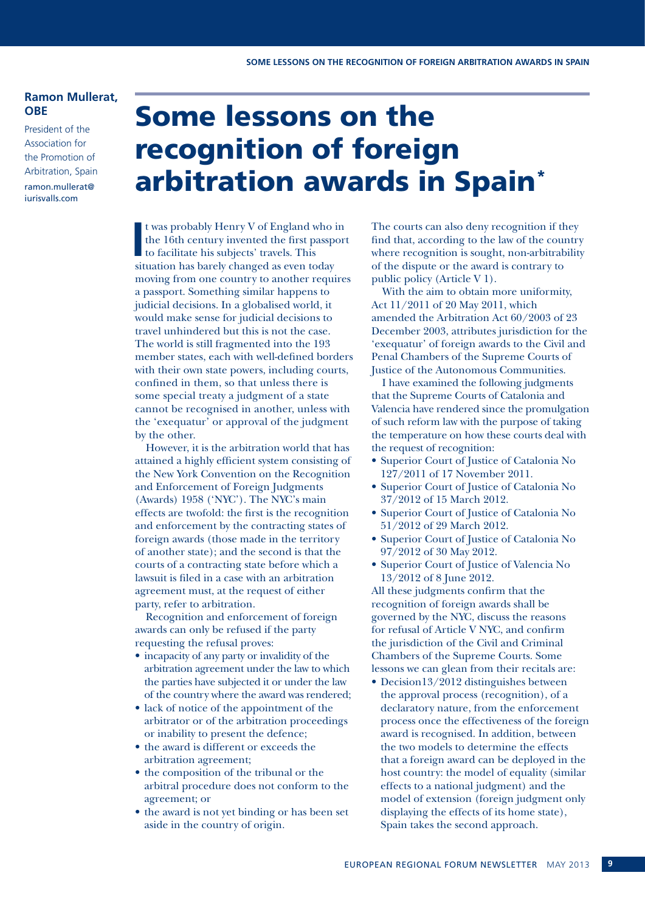#### **Ramon Mullerat, OBE**

President of the Association for the Promotion of Arbitration, Spain ramon.mullerat@ iurisvalls.com

### Some lessons on the recognition of foreign arbitration awards in Spain\*

**I**<br>**I**<br>*i*t t was probably Henry V of England who in the 16th century invented the first passport to facilitate his subjects' travels. This situation has barely changed as even today moving from one country to another requires a passport. Something similar happens to judicial decisions. In a globalised world, it would make sense for judicial decisions to travel unhindered but this is not the case. The world is still fragmented into the 193 member states, each with well-defined borders with their own state powers, including courts, confined in them, so that unless there is some special treaty a judgment of a state cannot be recognised in another, unless with the 'exequatur' or approval of the judgment by the other.

However, it is the arbitration world that has attained a highly efficient system consisting of the New York Convention on the Recognition and Enforcement of Foreign Judgments (Awards) 1958 ('NYC'). The NYC's main effects are twofold: the first is the recognition and enforcement by the contracting states of foreign awards (those made in the territory of another state); and the second is that the courts of a contracting state before which a lawsuit is filed in a case with an arbitration agreement must, at the request of either party, refer to arbitration.

Recognition and enforcement of foreign awards can only be refused if the party requesting the refusal proves:

- incapacity of any party or invalidity of the arbitration agreement under the law to which the parties have subjected it or under the law of the country where the award was rendered;
- lack of notice of the appointment of the arbitrator or of the arbitration proceedings or inability to present the defence;
- the award is different or exceeds the arbitration agreement;
- the composition of the tribunal or the arbitral procedure does not conform to the agreement; or
- the award is not yet binding or has been set aside in the country of origin.

The courts can also deny recognition if they find that, according to the law of the country where recognition is sought, non-arbitrability of the dispute or the award is contrary to public policy (Article V 1).

With the aim to obtain more uniformity, Act 11/2011 of 20 May 2011, which amended the Arbitration Act 60/2003 of 23 December 2003, attributes jurisdiction for the 'exequatur' of foreign awards to the Civil and Penal Chambers of the Supreme Courts of Justice of the Autonomous Communities.

I have examined the following judgments that the Supreme Courts of Catalonia and Valencia have rendered since the promulgation of such reform law with the purpose of taking the temperature on how these courts deal with the request of recognition:

- Superior Court of Justice of Catalonia No 127/2011 of 17 November 2011.
- • Superior Court of Justice of Catalonia No 37/2012 of 15 March 2012.
- Superior Court of Justice of Catalonia No 51/2012 of 29 March 2012.
- • Superior Court of Justice of Catalonia No 97/2012 of 30 May 2012.
- • Superior Court of Justice of Valencia No 13/2012 of 8 June 2012.

All these judgments confirm that the recognition of foreign awards shall be governed by the NYC, discuss the reasons for refusal of Article V NYC, and confirm the jurisdiction of the Civil and Criminal Chambers of the Supreme Courts. Some lessons we can glean from their recitals are:

• Decision13/2012 distinguishes between the approval process (recognition), of a declaratory nature, from the enforcement process once the effectiveness of the foreign award is recognised. In addition, between the two models to determine the effects that a foreign award can be deployed in the host country: the model of equality (similar effects to a national judgment) and the model of extension (foreign judgment only displaying the effects of its home state), Spain takes the second approach.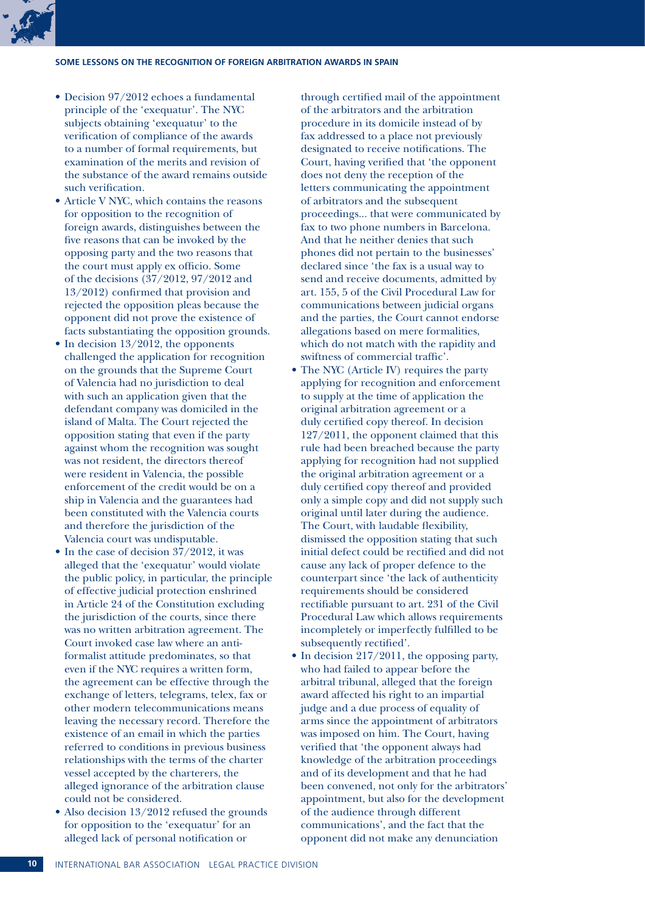#### **Some lessons on the recognition of foreign arbitration awards in Spain**

- Decision 97/2012 echoes a fundamental principle of the 'exequatur'. The NYC subjects obtaining 'exequatur' to the verification of compliance of the awards to a number of formal requirements, but examination of the merits and revision of the substance of the award remains outside such verification.
- Article V NYC, which contains the reasons for opposition to the recognition of foreign awards, distinguishes between the five reasons that can be invoked by the opposing party and the two reasons that the court must apply ex officio. Some of the decisions (37/2012, 97/2012 and 13/2012) confirmed that provision and rejected the opposition pleas because the opponent did not prove the existence of facts substantiating the opposition grounds.
- $\bullet$  In decision 13/2012, the opponents challenged the application for recognition on the grounds that the Supreme Court of Valencia had no jurisdiction to deal with such an application given that the defendant company was domiciled in the island of Malta. The Court rejected the opposition stating that even if the party against whom the recognition was sought was not resident, the directors thereof were resident in Valencia, the possible enforcement of the credit would be on a ship in Valencia and the guarantees had been constituted with the Valencia courts and therefore the jurisdiction of the Valencia court was undisputable.
- $\bullet$  In the case of decision 37/2012, it was alleged that the 'exequatur' would violate the public policy, in particular, the principle of effective judicial protection enshrined in Article 24 of the Constitution excluding the jurisdiction of the courts, since there was no written arbitration agreement. The Court invoked case law where an antiformalist attitude predominates, so that even if the NYC requires a written form, the agreement can be effective through the exchange of letters, telegrams, telex, fax or other modern telecommunications means leaving the necessary record. Therefore the existence of an email in which the parties referred to conditions in previous business relationships with the terms of the charter vessel accepted by the charterers, the alleged ignorance of the arbitration clause could not be considered.
- $\bullet$  Also decision 13/2012 refused the grounds for opposition to the 'exequatur' for an alleged lack of personal notification or

through certified mail of the appointment of the arbitrators and the arbitration procedure in its domicile instead of by fax addressed to a place not previously designated to receive notifications. The Court, having verified that 'the opponent does not deny the reception of the letters communicating the appointment of arbitrators and the subsequent proceedings... that were communicated by fax to two phone numbers in Barcelona. And that he neither denies that such phones did not pertain to the businesses' declared since 'the fax is a usual way to send and receive documents, admitted by art. 155, 5 of the Civil Procedural Law for communications between judicial organs and the parties, the Court cannot endorse allegations based on mere formalities, which do not match with the rapidity and swiftness of commercial traffic'.

- The NYC (Article IV) requires the party applying for recognition and enforcement to supply at the time of application the original arbitration agreement or a duly certified copy thereof. In decision 127/2011, the opponent claimed that this rule had been breached because the party applying for recognition had not supplied the original arbitration agreement or a duly certified copy thereof and provided only a simple copy and did not supply such original until later during the audience. The Court, with laudable flexibility, dismissed the opposition stating that such initial defect could be rectified and did not cause any lack of proper defence to the counterpart since 'the lack of authenticity requirements should be considered rectifiable pursuant to art. 231 of the Civil Procedural Law which allows requirements incompletely or imperfectly fulfilled to be subsequently rectified'.
- In decision  $217/2011$ , the opposing party, who had failed to appear before the arbitral tribunal, alleged that the foreign award affected his right to an impartial judge and a due process of equality of arms since the appointment of arbitrators was imposed on him. The Court, having verified that 'the opponent always had knowledge of the arbitration proceedings and of its development and that he had been convened, not only for the arbitrators' appointment, but also for the development of the audience through different communications', and the fact that the opponent did not make any denunciation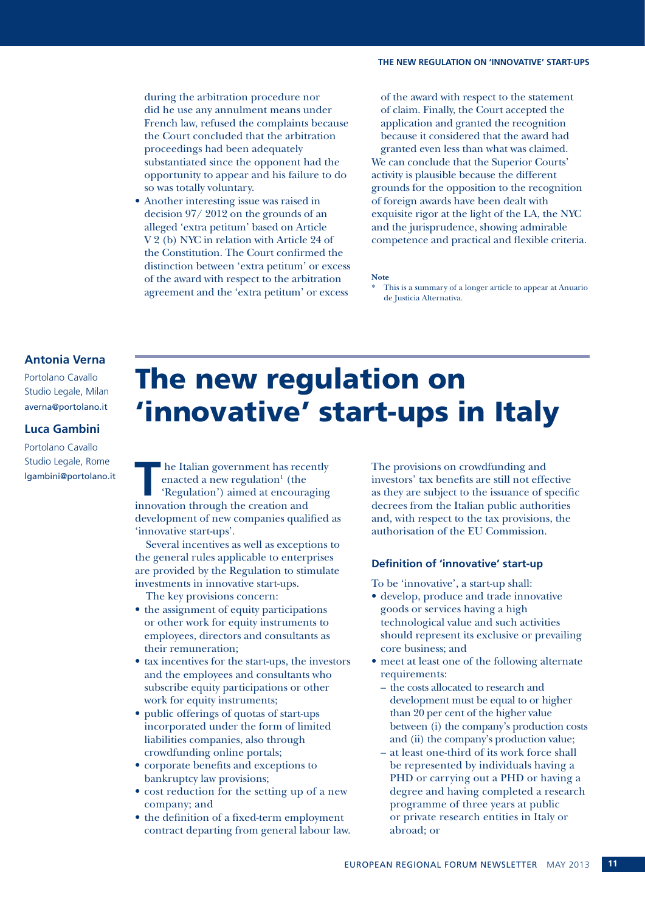during the arbitration procedure nor did he use any annulment means under French law, refused the complaints because the Court concluded that the arbitration proceedings had been adequately substantiated since the opponent had the opportunity to appear and his failure to do so was totally voluntary.

• Another interesting issue was raised in decision 97/ 2012 on the grounds of an alleged 'extra petitum' based on Article V 2 (b) NYC in relation with Article 24 of the Constitution. The Court confirmed the distinction between 'extra petitum' or excess of the award with respect to the arbitration agreement and the 'extra petitum' or excess

of the award with respect to the statement of claim. Finally, the Court accepted the application and granted the recognition because it considered that the award had granted even less than what was claimed. We can conclude that the Superior Courts' activity is plausible because the different grounds for the opposition to the recognition of foreign awards have been dealt with exquisite rigor at the light of the LA, the NYC and the jurisprudence, showing admirable competence and practical and flexible criteria.

#### **Note**

#### **Antonia Verna**

Portolano Cavallo Studio Legale, Milan averna@portolano.it

#### **Luca Gambini**

Portolano Cavallo Studio Legale, Rome lgambini@portolano.it The new regulation on 'innovative' start-ups in Italy

**T** he Italian government has recently enacted a new regulation<sup>1</sup> (the 'Regulation') aimed at encouraging innovation through the creation and development of new companies qualified as 'innovative start-ups'.

Several incentives as well as exceptions to the general rules applicable to enterprises are provided by the Regulation to stimulate investments in innovative start-ups. The key provisions concern:

- the assignment of equity participations or other work for equity instruments to employees, directors and consultants as their remuneration;
- tax incentives for the start-ups, the investors and the employees and consultants who subscribe equity participations or other work for equity instruments;
- public offerings of quotas of start-ups incorporated under the form of limited liabilities companies, also through crowdfunding online portals;
- corporate benefits and exceptions to bankruptcy law provisions;
- cost reduction for the setting up of a new company; and
- the definition of a fixed-term employment contract departing from general labour law.

The provisions on crowdfunding and investors' tax benefits are still not effective as they are subject to the issuance of specific decrees from the Italian public authorities and, with respect to the tax provisions, the authorisation of the EU Commission.

#### **Definition of 'innovative' start-up**

To be 'innovative', a start-up shall:

- • develop, produce and trade innovative goods or services having a high technological value and such activities should represent its exclusive or prevailing core business; and
- meet at least one of the following alternate requirements:
	- the costs allocated to research and development must be equal to or higher than 20 per cent of the higher value between (i) the company's production costs and (ii) the company's production value;
- at least one-third of its work force shall be represented by individuals having a PHD or carrying out a PHD or having a degree and having completed a research programme of three years at public or private research entities in Italy or abroad; or

This is a summary of a longer article to appear at Anuario de Justicia Alternativa.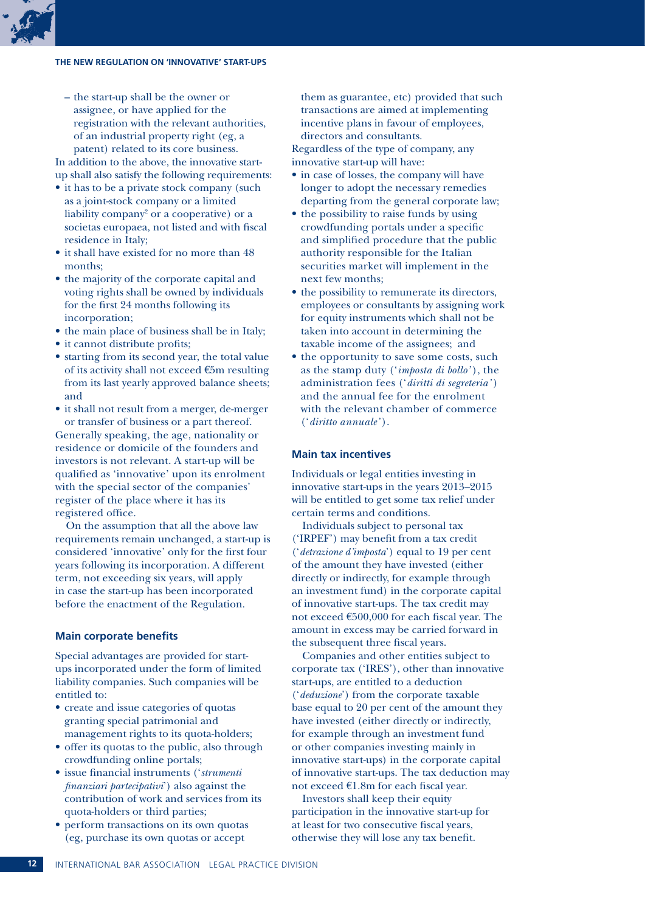#### **The new regulation on 'innovative' start-ups**

- the start-up shall be the owner or assignee, or have applied for the registration with the relevant authorities, of an industrial property right (eg, a patent) related to its core business. In addition to the above, the innovative startup shall also satisfy the following requirements:
- it has to be a private stock company (such as a joint-stock company or a limited liability company<sup>2</sup> or a cooperative) or a societas europaea, not listed and with fiscal residence in Italy;
- it shall have existed for no more than 48 months;
- the majority of the corporate capital and voting rights shall be owned by individuals for the first 24 months following its incorporation;
- the main place of business shall be in Italy;
- it cannot distribute profits;
- starting from its second year, the total value of its activity shall not exceed €5m resulting from its last yearly approved balance sheets; and
- it shall not result from a merger, de-merger or transfer of business or a part thereof.

Generally speaking, the age, nationality or residence or domicile of the founders and investors is not relevant. A start-up will be qualified as 'innovative' upon its enrolment with the special sector of the companies' register of the place where it has its registered office.

On the assumption that all the above law requirements remain unchanged, a start-up is considered 'innovative' only for the first four years following its incorporation. A different term, not exceeding six years, will apply in case the start-up has been incorporated before the enactment of the Regulation.

#### **Main corporate benefits**

Special advantages are provided for startups incorporated under the form of limited liability companies. Such companies will be entitled to:

- create and issue categories of quotas granting special patrimonial and management rights to its quota-holders;
- offer its quotas to the public, also through crowdfunding online portals;
- • issue financial instruments ('*strumenti finanziari partecipativi*') also against the contribution of work and services from its quota-holders or third parties;
- perform transactions on its own quotas (eg, purchase its own quotas or accept

them as guarantee, etc) provided that such transactions are aimed at implementing incentive plans in favour of employees, directors and consultants.

Regardless of the type of company, any innovative start-up will have:

- in case of losses, the company will have longer to adopt the necessary remedies departing from the general corporate law;
- the possibility to raise funds by using crowdfunding portals under a specific and simplified procedure that the public authority responsible for the Italian securities market will implement in the next few months;
- the possibility to remunerate its directors, employees or consultants by assigning work for equity instruments which shall not be taken into account in determining the taxable income of the assignees; and
- the opportunity to save some costs, such as the stamp duty ('*imposta di bollo'* ), the administration fees ('*diritti di segreteria'* ) and the annual fee for the enrolment with the relevant chamber of commerce ('*diritto annuale'* ).

#### **Main tax incentives**

Individuals or legal entities investing in innovative start-ups in the years 2013–2015 will be entitled to get some tax relief under certain terms and conditions.

Individuals subject to personal tax ('IRPEF') may benefit from a tax credit ('*detrazione d'imposta*') equal to 19 per cent of the amount they have invested (either directly or indirectly, for example through an investment fund) in the corporate capital of innovative start-ups. The tax credit may not exceed €500,000 for each fiscal year. The amount in excess may be carried forward in the subsequent three fiscal years.

Companies and other entities subject to corporate tax ('IRES'), other than innovative start-ups, are entitled to a deduction ('*deduzione*') from the corporate taxable base equal to 20 per cent of the amount they have invested (either directly or indirectly, for example through an investment fund or other companies investing mainly in innovative start-ups) in the corporate capital of innovative start-ups. The tax deduction may not exceed €1.8m for each fiscal year.

Investors shall keep their equity participation in the innovative start-up for at least for two consecutive fiscal years, otherwise they will lose any tax benefit.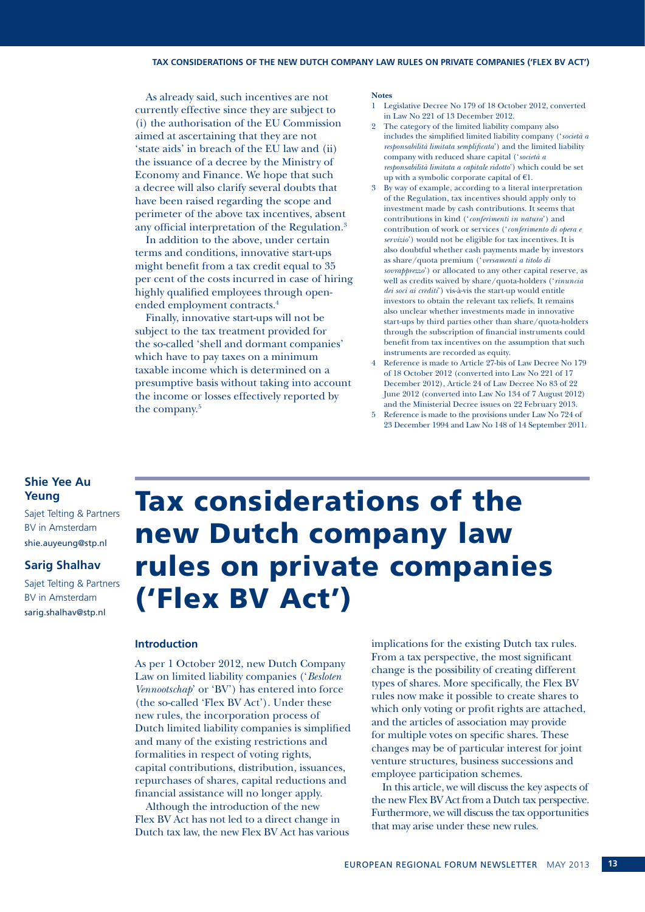#### **Tax considerations of the new Dutch company law rules on private companies ('Flex BV Act')**

As already said, such incentives are not currently effective since they are subject to (i) the authorisation of the EU Commission aimed at ascertaining that they are not 'state aids' in breach of the EU law and (ii) the issuance of a decree by the Ministry of Economy and Finance. We hope that such a decree will also clarify several doubts that have been raised regarding the scope and perimeter of the above tax incentives, absent any official interpretation of the Regulation.3

In addition to the above, under certain terms and conditions, innovative start-ups might benefit from a tax credit equal to 35 per cent of the costs incurred in case of hiring highly qualified employees through openended employment contracts.4

Finally, innovative start-ups will not be subject to the tax treatment provided for the so-called 'shell and dormant companies' which have to pay taxes on a minimum taxable income which is determined on a presumptive basis without taking into account the income or losses effectively reported by the company.<sup>5</sup>

#### **Notes**

- 1 Legislative Decree No 179 of 18 October 2012, converted in Law No 221 of 13 December 2012.
- 2 The category of the limited liability company also includes the simplified limited liability company ('*società a responsabilità limitata semplificata*') and the limited liability company with reduced share capital ('*società a responsabilità limitata a capitale ridotto*') which could be set up with a symbolic corporate capital of  $€1$ .
- By way of example, according to a literal interpretation of the Regulation, tax incentives should apply only to investment made by cash contributions. It seems that contributions in kind ('*conferimenti in natura*') and contribution of work or services ('*conferimento di opera e servizio*') would not be eligible for tax incentives. It is also doubtful whether cash payments made by investors as share/quota premium ('*versamenti a titolo di sovrapprezzo*') or allocated to any other capital reserve, as well as credits waived by share/quota-holders ('*rinuncia dei soci ai crediti*') vis-à-vis the start-up would entitle investors to obtain the relevant tax reliefs. It remains also unclear whether investments made in innovative start-ups by third parties other than share/quota-holders through the subscription of financial instruments could benefit from tax incentives on the assumption that such instruments are recorded as equity.
- Reference is made to Article 27-bis of Law Decree No 179 of 18 October 2012 (converted into Law No 221 of 17 December 2012), Article 24 of Law Decree No 83 of 22 June 2012 (converted into Law No 134 of 7 August 2012) and the Ministerial Decree issues on 22 February 2013.
- 5 Reference is made to the provisions under Law No 724 of 23 December 1994 and Law No 148 of 14 September 2011.

#### **Shie Yee Au Yeung**

Sajet Telting & Partners BV in Amsterdam shie.auyeung@stp.nl

#### **Sarig Shalhav**

Sajet Telting & Partners BV in Amsterdam sarig.shalhav@stp.nl

### Tax considerations of the new Dutch company law rules on private companies ('Flex BV Act')

#### **Introduction**

As per 1 October 2012, new Dutch Company Law on limited liability companies ('*Besloten Vennootschap*' or 'BV') has entered into force (the so-called 'Flex BV Act'). Under these new rules, the incorporation process of Dutch limited liability companies is simplified and many of the existing restrictions and formalities in respect of voting rights, capital contributions, distribution, issuances, repurchases of shares, capital reductions and financial assistance will no longer apply.

Although the introduction of the new Flex BV Act has not led to a direct change in Dutch tax law, the new Flex BV Act has various

implications for the existing Dutch tax rules. From a tax perspective, the most significant change is the possibility of creating different types of shares. More specifically, the Flex BV rules now make it possible to create shares to which only voting or profit rights are attached, and the articles of association may provide for multiple votes on specific shares. These changes may be of particular interest for joint venture structures, business successions and employee participation schemes.

In this article, we will discuss the key aspects of the new Flex BV Act from a Dutch tax perspective. Furthermore, we will discuss the tax opportunities that may arise under these new rules.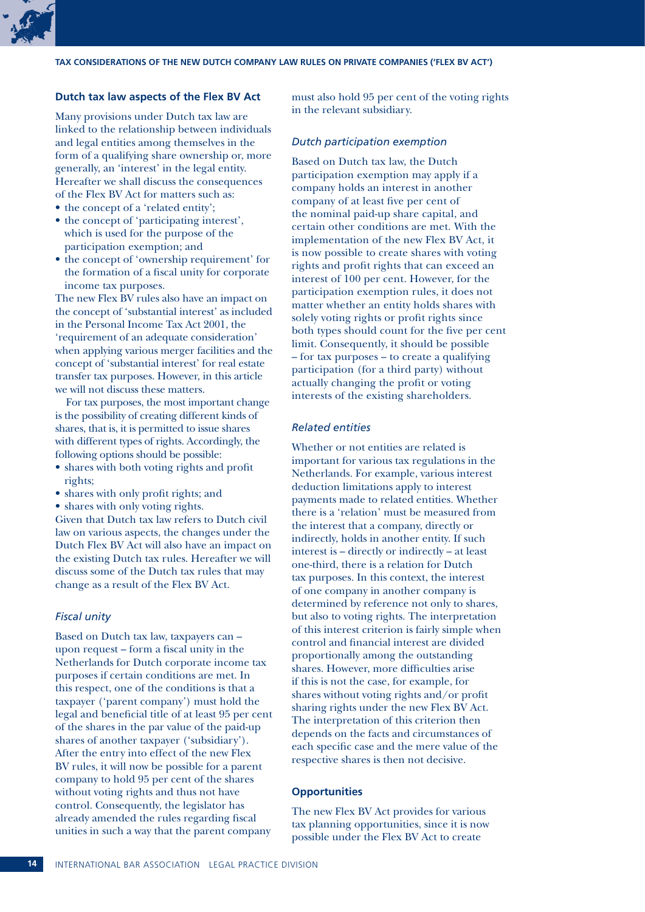

**Tax considerations of the new Dutch company law rules on private companies ('Flex BV Act')**

#### **Dutch tax law aspects of the Flex BV Act**

Many provisions under Dutch tax law are linked to the relationship between individuals and legal entities among themselves in the form of a qualifying share ownership or, more generally, an 'interest' in the legal entity. Hereafter we shall discuss the consequences of the Flex BV Act for matters such as:

- the concept of a 'related entity';
- the concept of 'participating interest', which is used for the purpose of the participation exemption; and
- the concept of 'ownership requirement' for the formation of a fiscal unity for corporate income tax purposes.

The new Flex BV rules also have an impact on the concept of 'substantial interest' as included in the Personal Income Tax Act 2001, the 'requirement of an adequate consideration' when applying various merger facilities and the concept of 'substantial interest' for real estate transfer tax purposes. However, in this article we will not discuss these matters.

For tax purposes, the most important change is the possibility of creating different kinds of shares, that is, it is permitted to issue shares with different types of rights. Accordingly, the following options should be possible:

- shares with both voting rights and profit rights;
- shares with only profit rights; and
- shares with only voting rights.

Given that Dutch tax law refers to Dutch civil law on various aspects, the changes under the Dutch Flex BV Act will also have an impact on the existing Dutch tax rules. Hereafter we will discuss some of the Dutch tax rules that may change as a result of the Flex BV Act.

#### *Fiscal unity*

Based on Dutch tax law, taxpayers can – upon request – form a fiscal unity in the Netherlands for Dutch corporate income tax purposes if certain conditions are met. In this respect, one of the conditions is that a taxpayer ('parent company') must hold the legal and beneficial title of at least 95 per cent of the shares in the par value of the paid-up shares of another taxpayer ('subsidiary'). After the entry into effect of the new Flex BV rules, it will now be possible for a parent company to hold 95 per cent of the shares without voting rights and thus not have control. Consequently, the legislator has already amended the rules regarding fiscal unities in such a way that the parent company

must also hold 95 per cent of the voting rights in the relevant subsidiary.

#### *Dutch participation exemption*

Based on Dutch tax law, the Dutch participation exemption may apply if a company holds an interest in another company of at least five per cent of the nominal paid-up share capital, and certain other conditions are met. With the implementation of the new Flex BV Act, it is now possible to create shares with voting rights and profit rights that can exceed an interest of 100 per cent. However, for the participation exemption rules, it does not matter whether an entity holds shares with solely voting rights or profit rights since both types should count for the five per cent limit. Consequently, it should be possible – for tax purposes – to create a qualifying participation (for a third party) without actually changing the profit or voting interests of the existing shareholders.

#### *Related entities*

Whether or not entities are related is important for various tax regulations in the Netherlands. For example, various interest deduction limitations apply to interest payments made to related entities. Whether there is a 'relation' must be measured from the interest that a company, directly or indirectly, holds in another entity. If such interest is – directly or indirectly – at least one-third, there is a relation for Dutch tax purposes. In this context, the interest of one company in another company is determined by reference not only to shares, but also to voting rights. The interpretation of this interest criterion is fairly simple when control and financial interest are divided proportionally among the outstanding shares. However, more difficulties arise if this is not the case, for example, for shares without voting rights and/or profit sharing rights under the new Flex BV Act. The interpretation of this criterion then depends on the facts and circumstances of each specific case and the mere value of the respective shares is then not decisive.

#### **Opportunities**

The new Flex BV Act provides for various tax planning opportunities, since it is now possible under the Flex BV Act to create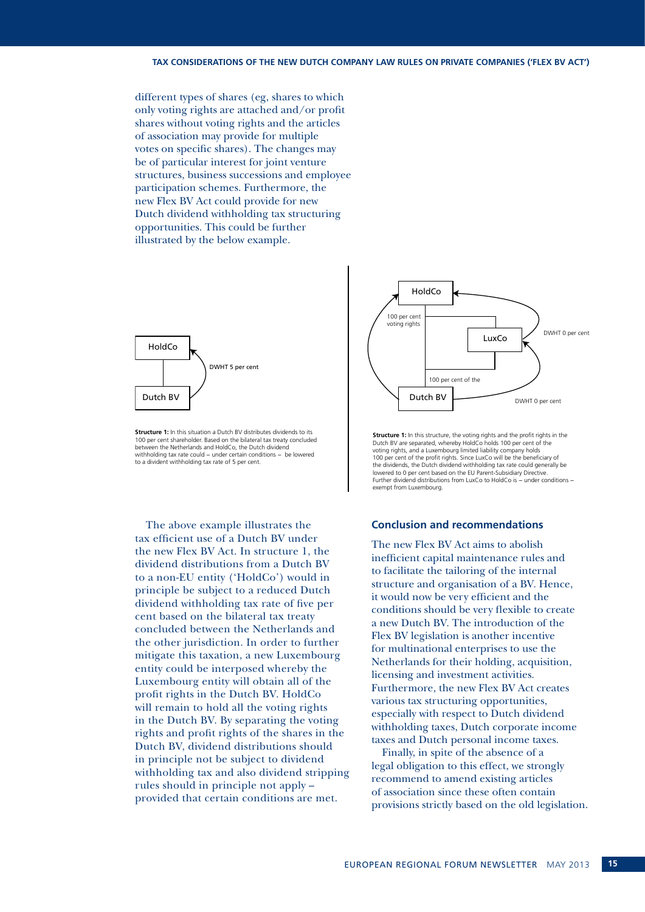different types of shares (eg, shares to which only voting rights are attached and/or profit shares without voting rights and the articles of association may provide for multiple votes on specific shares). The changes may be of particular interest for joint venture structures, business successions and employee participation schemes. Furthermore, the new Flex BV Act could provide for new Dutch dividend withholding tax structuring opportunities. This could be further illustrated by the below example.



**Structure 1:** In this situation a Dutch BV distributes dividends to its 100 per cent shareholder. Based on the bilateral tax treaty concluded between the Netherlands and HoldCo, the Dutch dividend withholding tax rate could – under certain conditions – be lowered to a divident withholding tax rate of 5 per cent.

The above example illustrates the tax efficient use of a Dutch BV under the new Flex BV Act. In structure 1, the dividend distributions from a Dutch BV to a non-EU entity ('HoldCo') would in principle be subject to a reduced Dutch dividend withholding tax rate of five per cent based on the bilateral tax treaty concluded between the Netherlands and the other jurisdiction. In order to further mitigate this taxation, a new Luxembourg entity could be interposed whereby the Luxembourg entity will obtain all of the profit rights in the Dutch BV. HoldCo will remain to hold all the voting rights in the Dutch BV. By separating the voting rights and profit rights of the shares in the Dutch BV, dividend distributions should in principle not be subject to dividend withholding tax and also dividend stripping rules should in principle not apply – provided that certain conditions are met.



**Structure 1:** In this structure, the voting rights and the profit rights in the Dutch BV are separated, whereby HoldCo holds 100 per cent of the voting rights, and a Luxembourg limited liability company holds 100 per cent of the profit rights. Since LuxCo will be the beneficiary of the dividends, the Dutch dividend withholding tax rate could generally be lowered to 0 per cent based on the EU Parent-Subsidiary Directive. Further dividend distributions from LuxCo to HoldCo is − under conditions − exempt from Luxembourg.

#### **Conclusion and recommendations**

The new Flex BV Act aims to abolish inefficient capital maintenance rules and to facilitate the tailoring of the internal structure and organisation of a BV. Hence, it would now be very efficient and the conditions should be very flexible to create a new Dutch BV. The introduction of the Flex BV legislation is another incentive for multinational enterprises to use the Netherlands for their holding, acquisition, licensing and investment activities. Furthermore, the new Flex BV Act creates various tax structuring opportunities, especially with respect to Dutch dividend withholding taxes, Dutch corporate income taxes and Dutch personal income taxes.

Finally, in spite of the absence of a legal obligation to this effect, we strongly recommend to amend existing articles of association since these often contain provisions strictly based on the old legislation.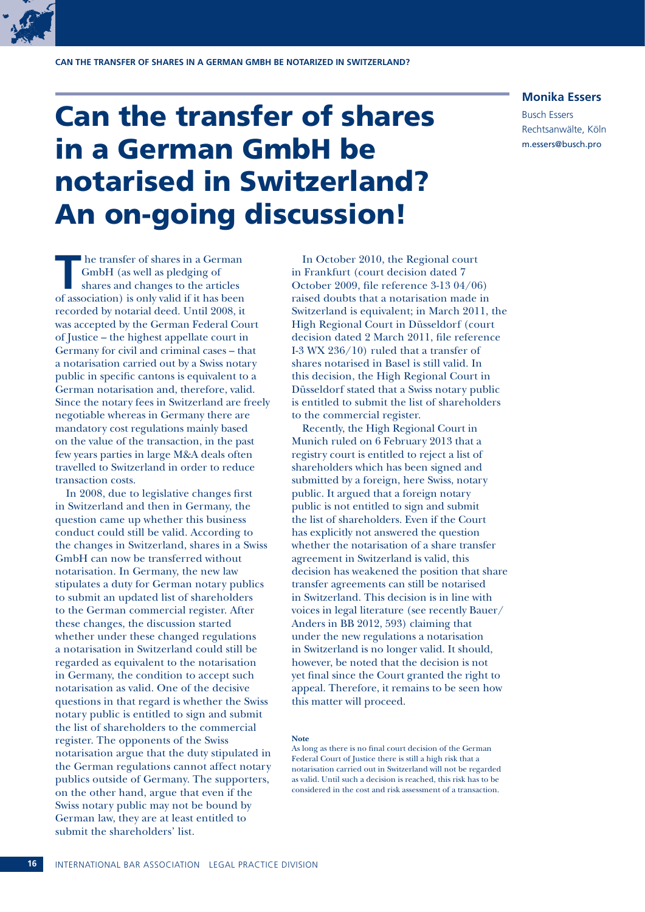

### Can the transfer of shares in a German GmbH be notarised in Switzerland? An on-going discussion!

**Monika Essers**

Busch Essers Rechtsanwälte, Köln m.essers@busch.pro

**T** he transfer of shares in a German GmbH (as well as pledging of shares and changes to the articles of association) is only valid if it has been recorded by notarial deed. Until 2008, it was accepted by the German Federal Court of Justice – the highest appellate court in Germany for civil and criminal cases – that a notarisation carried out by a Swiss notary public in specific cantons is equivalent to a German notarisation and, therefore, valid. Since the notary fees in Switzerland are freely negotiable whereas in Germany there are mandatory cost regulations mainly based on the value of the transaction, in the past few years parties in large M&A deals often travelled to Switzerland in order to reduce transaction costs.

In 2008, due to legislative changes first in Switzerland and then in Germany, the question came up whether this business conduct could still be valid. According to the changes in Switzerland, shares in a Swiss GmbH can now be transferred without notarisation. In Germany, the new law stipulates a duty for German notary publics to submit an updated list of shareholders to the German commercial register. After these changes, the discussion started whether under these changed regulations a notarisation in Switzerland could still be regarded as equivalent to the notarisation in Germany, the condition to accept such notarisation as valid. One of the decisive questions in that regard is whether the Swiss notary public is entitled to sign and submit the list of shareholders to the commercial register. The opponents of the Swiss notarisation argue that the duty stipulated in the German regulations cannot affect notary publics outside of Germany. The supporters, on the other hand, argue that even if the Swiss notary public may not be bound by German law, they are at least entitled to submit the shareholders' list.

In October 2010, the Regional court in Frankfurt (court decision dated 7 October 2009, file reference 3-13 04/06) raised doubts that a notarisation made in Switzerland is equivalent; in March 2011, the High Regional Court in Düsseldorf (court decision dated 2 March 2011, file reference I-3 WX 236/10) ruled that a transfer of shares notarised in Basel is still valid. In this decision, the High Regional Court in Düsseldorf stated that a Swiss notary public is entitled to submit the list of shareholders to the commercial register.

Recently, the High Regional Court in Munich ruled on 6 February 2013 that a registry court is entitled to reject a list of shareholders which has been signed and submitted by a foreign, here Swiss, notary public. It argued that a foreign notary public is not entitled to sign and submit the list of shareholders. Even if the Court has explicitly not answered the question whether the notarisation of a share transfer agreement in Switzerland is valid, this decision has weakened the position that share transfer agreements can still be notarised in Switzerland. This decision is in line with voices in legal literature (see recently Bauer/ Anders in BB 2012, 593) claiming that under the new regulations a notarisation in Switzerland is no longer valid. It should, however, be noted that the decision is not yet final since the Court granted the right to appeal. Therefore, it remains to be seen how this matter will proceed.

#### **Note**

As long as there is no final court decision of the German Federal Court of Justice there is still a high risk that a notarisation carried out in Switzerland will not be regarded as valid. Until such a decision is reached, this risk has to be considered in the cost and risk assessment of a transaction.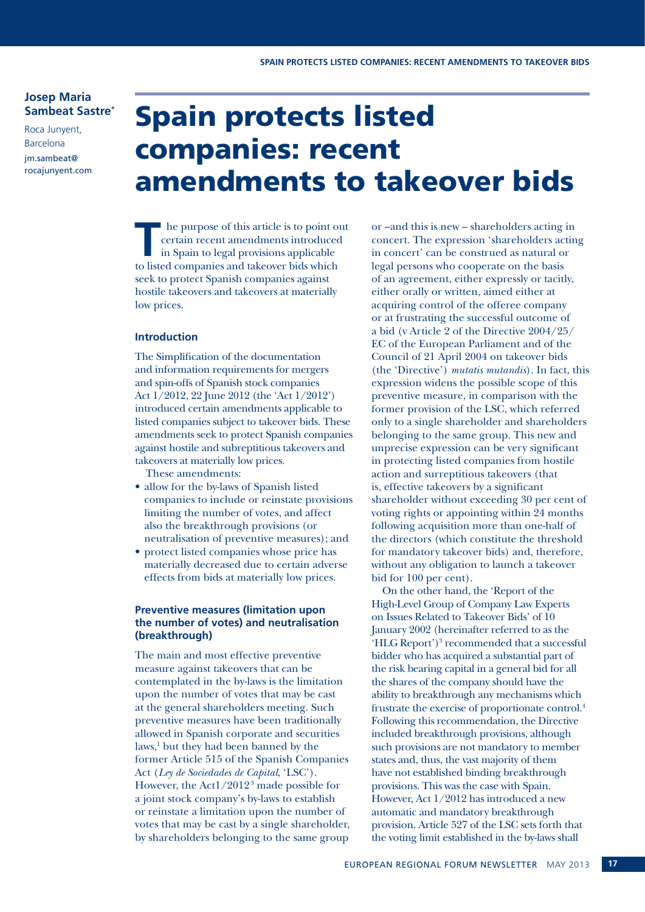#### **Josep Maria Sambeat Sastre\***

Roca Junyent, Barcelona jm.sambeat@ rocajunyent.com

### Spain protects listed companies: recent amendments to takeover bids

**T** he purpose of this article is to point out certain recent amendments introduced in Spain to legal provisions applicable to listed companies and takeorer hide which certain recent amendments introduced to listed companies and takeover bids which seek to protect Spanish companies against hostile takeovers and takeovers at materially low prices.

#### **Introduction**

The Simplification of the documentation and information requirements for mergers and spin-offs of Spanish stock companies Act 1/2012, 22 June 2012 (the 'Act 1/2012') introduced certain amendments applicable to listed companies subject to takeover bids. These amendments seek to protect Spanish companies against hostile and subreptitious takeovers and takeovers at materially low prices.

These amendments:

- allow for the by-laws of Spanish listed companies to include or reinstate provisions limiting the number of votes, and affect also the breakthrough provisions (or neutralisation of preventive measures); and
- protect listed companies whose price has materially decreased due to certain adverse effects from bids at materially low prices.

#### **Preventive measures (limitation upon the number of votes) and neutralisation (breakthrough)**

The main and most effective preventive measure against takeovers that can be contemplated in the by-laws is the limitation upon the number of votes that may be cast at the general shareholders meeting. Such preventive measures have been traditionally allowed in Spanish corporate and securities laws,<sup>1</sup> but they had been banned by the former Article 515 of the Spanish Companies Act (*Ley de Sociedades de Capital*, 'LSC'). However, the Act1/20123 made possible for a joint stock company's by-laws to establish or reinstate a limitation upon the number of votes that may be cast by a single shareholder, by shareholders belonging to the same group

or –and this is new – shareholders acting in concert. The expression 'shareholders acting in concert' can be construed as natural or legal persons who cooperate on the basis of an agreement, either expressly or tacitly, either orally or written, aimed either at acquiring control of the offeree company or at frustrating the successful outcome of a bid (v Article 2 of the Directive 2004/25/ EC of the European Parliament and of the Council of 21 April 2004 on takeover bids (the 'Directive') *mutatis mutandis*). In fact, this expression widens the possible scope of this preventive measure, in comparison with the former provision of the LSC, which referred only to a single shareholder and shareholders belonging to the same group. This new and unprecise expression can be very significant in protecting listed companies from hostile action and surreptitious takeovers (that is, effective takeovers by a significant shareholder without exceeding 30 per cent of voting rights or appointing within 24 months following acquisition more than one-half of the directors (which constitute the threshold for mandatory takeover bids) and, therefore, without any obligation to launch a takeover bid for 100 per cent).

On the other hand, the 'Report of the High-Level Group of Company Law Experts on Issues Related to Takeover Bids' of 10 January 2002 (hereinafter referred to as the 'HLG Report')<sup>3</sup> recommended that a successful bidder who has acquired a substantial part of the risk bearing capital in a general bid for all the shares of the company should have the ability to breakthrough any mechanisms which frustrate the exercise of proportionate control.4 Following this recommendation, the Directive included breakthrough provisions, although such provisions are not mandatory to member states and, thus, the vast majority of them have not established binding breakthrough provisions. This was the case with Spain. However, Act 1/2012 has introduced a new automatic and mandatory breakthrough provision. Article 527 of the LSC sets forth that the voting limit established in the by-laws shall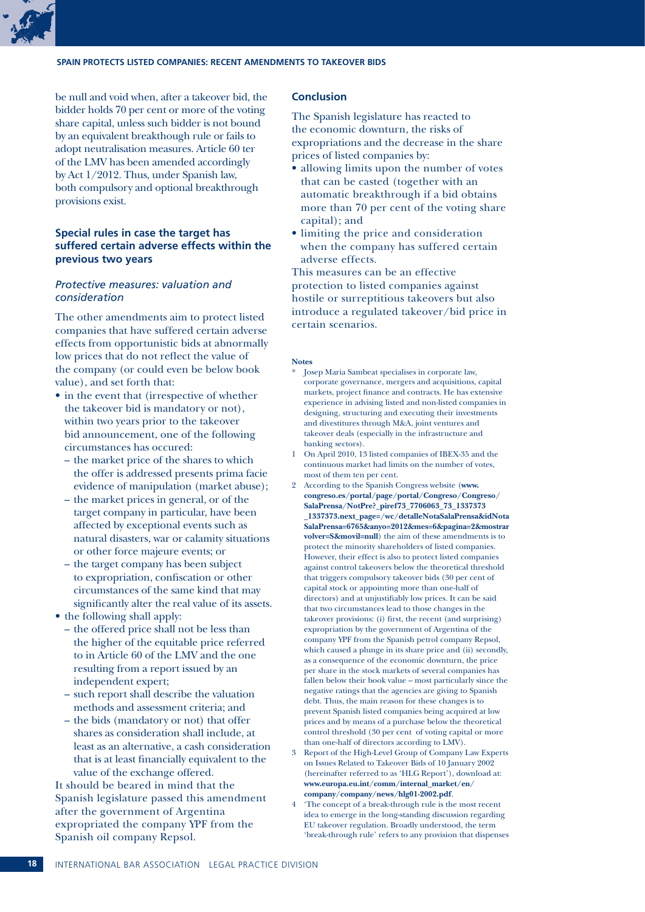

be null and void when, after a takeover bid, the bidder holds 70 per cent or more of the voting share capital, unless such bidder is not bound by an equivalent breakthough rule or fails to adopt neutralisation measures. Article 60 ter of the LMV has been amended accordingly by Act 1/2012. Thus, under Spanish law, both compulsory and optional breakthrough provisions exist.

#### **Special rules in case the target has suffered certain adverse effects within the previous two years**

#### *Protective measures: valuation and consideration*

The other amendments aim to protect listed companies that have suffered certain adverse effects from opportunistic bids at abnormally low prices that do not reflect the value of the company (or could even be below book value), and set forth that:

- $\bullet$  in the event that (irrespective of whether the takeover bid is mandatory or not), within two years prior to the takeover bid announcement, one of the following circumstances has occured:
	- the market price of the shares to which the offer is addressed presents prima facie evidence of manipulation (market abuse);
	- the market prices in general, or of the target company in particular, have been affected by exceptional events such as natural disasters, war or calamity situations or other force majeure events; or
	- the target company has been subject to expropriation, confiscation or other circumstances of the same kind that may significantly alter the real value of its assets.
- the following shall apply:
	- the offered price shall not be less than the higher of the equitable price referred to in Article 60 of the LMV and the one resulting from a report issued by an independent expert;
	- such report shall describe the valuation methods and assessment criteria; and
	- the bids (mandatory or not) that offer shares as consideration shall include, at least as an alternative, a cash consideration that is at least financially equivalent to the value of the exchange offered.

It should be beared in mind that the Spanish legislature passed this amendment after the government of Argentina expropriated the company YPF from the Spanish oil company Repsol.

#### **Conclusion**

The Spanish legislature has reacted to the economic downturn, the risks of expropriations and the decrease in the share prices of listed companies by:

- allowing limits upon the number of votes that can be casted (together with an automatic breakthrough if a bid obtains more than 70 per cent of the voting share capital); and
- limiting the price and consideration when the company has suffered certain adverse effects.

This measures can be an effective protection to listed companies against hostile or surreptitious takeovers but also introduce a regulated takeover/bid price in certain scenarios.

#### **Notes**

- Josep Maria Sambeat specialises in corporate law, corporate governance, mergers and acquisitions, capital markets, project finance and contracts. He has extensive experience in advising listed and non-listed companies in designing, structuring and executing their investments and divestitures through M&A, joint ventures and takeover deals (especially in the infrastructure and banking sectors).
- 1 On April 2010, 13 listed companies of IBEX-35 and the continuous market had limits on the number of votes, most of them ten per cent.
- 2 According to the Spanish Congress website (**www. congreso.es/portal/page/portal/Congreso/Congreso/ SalaPrensa/NotPre?\_piref73\_7706063\_73\_1337373 \_1337373.next\_page=/wc/detalleNotaSalaPrensa&idNota SalaPrensa=6765&anyo=2012&mes=6&pagina=2&mostrar volver=S&movil=null**) the aim of these amendments is to protect the minority shareholders of listed companies. However, their effect is also to protect listed companies against control takeovers below the theoretical threshold that triggers compulsory takeover bids (30 per cent of capital stock or appointing more than one-half of directors) and at unjustifiably low prices. It can be said that two circumstances lead to those changes in the takeover provisions: (i) first, the recent (and surprising) expropriation by the government of Argentina of the company YPF from the Spanish petrol company Repsol, which caused a plunge in its share price and (ii) secondly, as a consequence of the economic downturn, the price per share in the stock markets of several companies has fallen below their book value – most particularly since the negative ratings that the agencies are giving to Spanish debt. Thus, the main reason for these changes is to prevent Spanish listed companies being acquired at low prices and by means of a purchase below the theoretical control threshold (30 per cent of voting capital or more than one-half of directors according to LMV).
- 3 Report of the High-Level Group of Company Law Experts on Issues Related to Takeover Bids of 10 January 2002 (hereinafter referred to as 'HLG Report'), download at: **www.europa.eu.int/comm/internal\_market/en/ company/company/news/hlg01-2002.pdf**.
- 4 'The concept of a break-through rule is the most recent idea to emerge in the long-standing discussion regarding EU takeover regulation. Broadly understood, the term 'break-through rule' refers to any provision that dispenses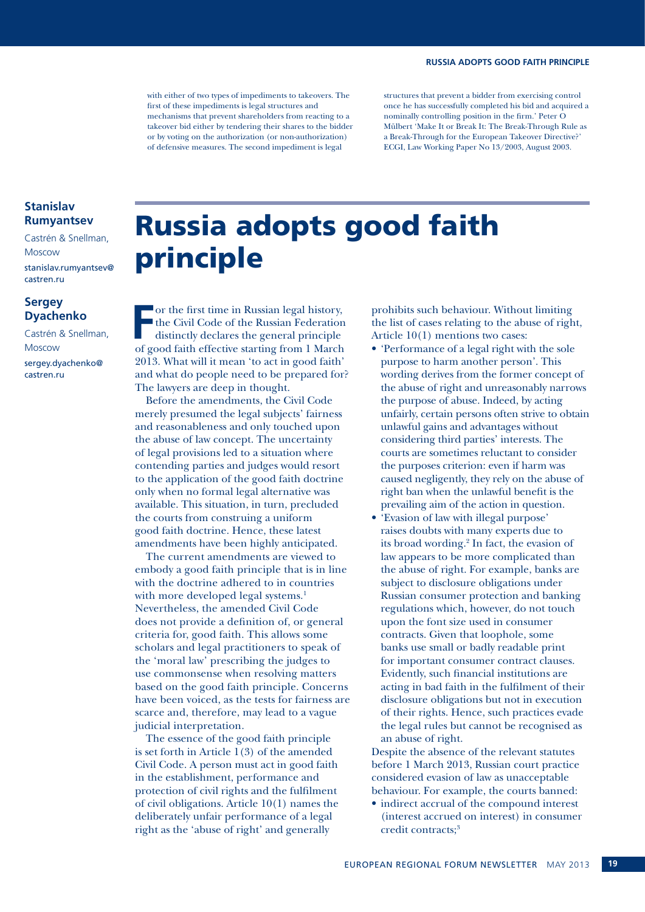with either of two types of impediments to takeovers. The first of these impediments is legal structures and mechanisms that prevent shareholders from reacting to a takeover bid either by tendering their shares to the bidder or by voting on the authorization (or non-authorization) of defensive measures. The second impediment is legal

structures that prevent a bidder from exercising control once he has successfully completed his bid and acquired a nominally controlling position in the firm.' Peter O Mülbert 'Make It or Break It: The Break-Through Rule as a Break-Through for the European Takeover Directive?' ECGI, Law Working Paper No 13/2003, August 2003.

#### **Stanislav Rumyantsev**

Castrén & Snellman, Moscow stanislav.rumyantsev@ castren.ru

#### **Sergey Dyachenko**

Castrén & Snellman, Moscow sergey.dyachenko@ castren.ru

### Russia adopts good faith principle

Franchise in Russian legal history,<br>
The Civil Code of the Russian Federation<br>
distinctly declares the general principle<br>
of good faith offective stating from 1 Marsh the Civil Code of the Russian Federation distinctly declares the general principle of good faith effective starting from 1 March 2013. What will it mean 'to act in good faith' and what do people need to be prepared for? The lawyers are deep in thought.

Before the amendments, the Civil Code merely presumed the legal subjects' fairness and reasonableness and only touched upon the abuse of law concept. The uncertainty of legal provisions led to a situation where contending parties and judges would resort to the application of the good faith doctrine only when no formal legal alternative was available. This situation, in turn, precluded the courts from construing a uniform good faith doctrine. Hence, these latest amendments have been highly anticipated.

The current amendments are viewed to embody a good faith principle that is in line with the doctrine adhered to in countries with more developed legal systems.<sup>1</sup> Nevertheless, the amended Civil Code does not provide a definition of, or general criteria for, good faith. This allows some scholars and legal practitioners to speak of the 'moral law' prescribing the judges to use commonsense when resolving matters based on the good faith principle. Concerns have been voiced, as the tests for fairness are scarce and, therefore, may lead to a vague judicial interpretation.

The essence of the good faith principle is set forth in Article 1(3) of the amended Civil Code. A person must act in good faith in the establishment, performance and protection of civil rights and the fulfilment of civil obligations. Article 10(1) names the deliberately unfair performance of a legal right as the 'abuse of right' and generally

prohibits such behaviour. Without limiting the list of cases relating to the abuse of right, Article 10(1) mentions two cases:

- • 'Performance of a legal right with the sole purpose to harm another person'. This wording derives from the former concept of the abuse of right and unreasonably narrows the purpose of abuse. Indeed, by acting unfairly, certain persons often strive to obtain unlawful gains and advantages without considering third parties' interests. The courts are sometimes reluctant to consider the purposes criterion: even if harm was caused negligently, they rely on the abuse of right ban when the unlawful benefit is the prevailing aim of the action in question.
- • 'Evasion of law with illegal purpose' raises doubts with many experts due to its broad wording.2 In fact, the evasion of law appears to be more complicated than the abuse of right. For example, banks are subject to disclosure obligations under Russian consumer protection and banking regulations which, however, do not touch upon the font size used in consumer contracts. Given that loophole, some banks use small or badly readable print for important consumer contract clauses. Evidently, such financial institutions are acting in bad faith in the fulfilment of their disclosure obligations but not in execution of their rights. Hence, such practices evade the legal rules but cannot be recognised as an abuse of right.

Despite the absence of the relevant statutes before 1 March 2013, Russian court practice considered evasion of law as unacceptable behaviour. For example, the courts banned:

• indirect accrual of the compound interest (interest accrued on interest) in consumer credit contracts;<sup>3</sup>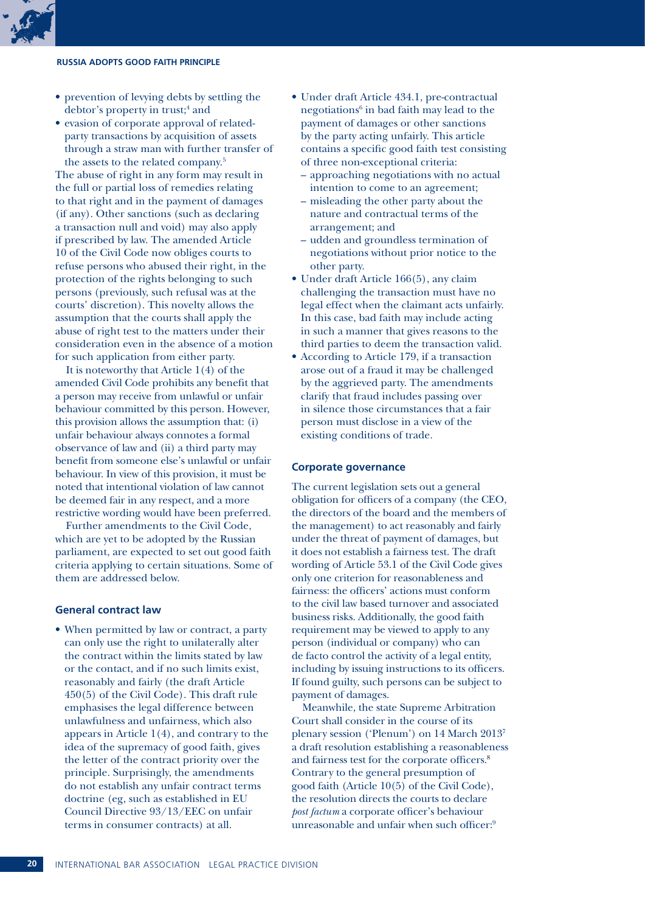#### **Russia adopts good faith principle**

- prevention of levying debts by settling the debtor's property in trust;<sup>4</sup> and
- evasion of corporate approval of relatedparty transactions by acquisition of assets through a straw man with further transfer of the assets to the related company.5

The abuse of right in any form may result in the full or partial loss of remedies relating to that right and in the payment of damages (if any). Other sanctions (such as declaring a transaction null and void) may also apply if prescribed by law. The amended Article 10 of the Civil Code now obliges courts to refuse persons who abused their right, in the protection of the rights belonging to such persons (previously, such refusal was at the courts' discretion). This novelty allows the assumption that the courts shall apply the abuse of right test to the matters under their consideration even in the absence of a motion for such application from either party.

It is noteworthy that Article 1(4) of the amended Civil Code prohibits any benefit that a person may receive from unlawful or unfair behaviour committed by this person. However, this provision allows the assumption that: (i) unfair behaviour always connotes a formal observance of law and (ii) a third party may benefit from someone else's unlawful or unfair behaviour. In view of this provision, it must be noted that intentional violation of law cannot be deemed fair in any respect, and a more restrictive wording would have been preferred.

Further amendments to the Civil Code, which are yet to be adopted by the Russian parliament, are expected to set out good faith criteria applying to certain situations. Some of them are addressed below.

#### **General contract law**

• When permitted by law or contract, a party can only use the right to unilaterally alter the contract within the limits stated by law or the contact, and if no such limits exist, reasonably and fairly (the draft Article 450(5) of the Civil Code). This draft rule emphasises the legal difference between unlawfulness and unfairness, which also appears in Article 1(4), and contrary to the idea of the supremacy of good faith, gives the letter of the contract priority over the principle. Surprisingly, the amendments do not establish any unfair contract terms doctrine (eg, such as established in EU Council Directive 93/13/EEC on unfair terms in consumer contracts) at all.

- • Under draft Article 434.1, pre-contractual negotiations<sup>6</sup> in bad faith may lead to the payment of damages or other sanctions by the party acting unfairly. This article contains a specific good faith test consisting of three non-exceptional criteria:
	- approaching negotiations with no actual intention to come to an agreement;
	- misleading the other party about the nature and contractual terms of the arrangement; and
	- udden and groundless termination of negotiations without prior notice to the other party.
- Under draft Article 166(5), any claim challenging the transaction must have no legal effect when the claimant acts unfairly. In this case, bad faith may include acting in such a manner that gives reasons to the third parties to deem the transaction valid.
- • According to Article 179, if a transaction arose out of a fraud it may be challenged by the aggrieved party. The amendments clarify that fraud includes passing over in silence those circumstances that a fair person must disclose in a view of the existing conditions of trade.

#### **Corporate governance**

The current legislation sets out a general obligation for officers of a company (the CEO, the directors of the board and the members of the management) to act reasonably and fairly under the threat of payment of damages, but it does not establish a fairness test. The draft wording of Article 53.1 of the Civil Code gives only one criterion for reasonableness and fairness: the officers' actions must conform to the civil law based turnover and associated business risks. Additionally, the good faith requirement may be viewed to apply to any person (individual or company) who can de facto control the activity of a legal entity, including by issuing instructions to its officers. If found guilty, such persons can be subject to payment of damages.

Meanwhile, the state Supreme Arbitration Court shall consider in the course of its plenary session ('Plenum') on 14 March 20137 a draft resolution establishing a reasonableness and fairness test for the corporate officers.8 Contrary to the general presumption of good faith (Article 10(5) of the Civil Code), the resolution directs the courts to declare *post factum* a corporate officer's behaviour unreasonable and unfair when such officer:<sup>9</sup>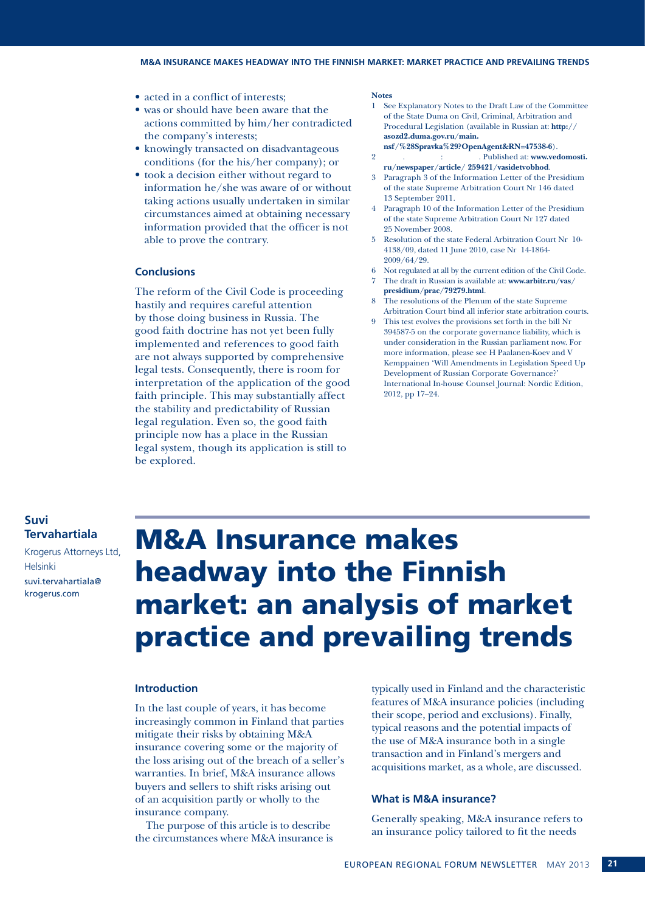- acted in a conflict of interests;
- was or should have been aware that the actions committed by him/her contradicted the company's interests;
- knowingly transacted on disadvantageous conditions (for the his/her company); or
- took a decision either without regard to information he/she was aware of or without taking actions usually undertaken in similar circumstances aimed at obtaining necessary information provided that the officer is not able to prove the contrary.

#### **Conclusions**

The reform of the Civil Code is proceeding hastily and requires careful attention by those doing business in Russia. The good faith doctrine has not yet been fully implemented and references to good faith are not always supported by comprehensive legal tests. Consequently, there is room for interpretation of the application of the good faith principle. This may substantially affect the stability and predictability of Russian legal regulation. Even so, the good faith principle now has a place in the Russian legal system, though its application is still to be explored.

#### **Notes**

- 1 See Explanatory Notes to the Draft Law of the Committee of the State Duma on Civil, Criminal, Arbitration and Procedural Legislation (available in Russian at: **http:// asozd2.duma.gov.ru/main.**
- **nsf/%28Spravka%29?OpenAgent&RN=47538-6**). 2 Rublished at: **www.vedomosti.**
- **ru/newspaper/article/ 259421/vasidetvobhod**.
- 3 Paragraph 3 of the Information Letter of the Presidium of the state Supreme Arbitration Court Nr 146 dated 13 September 2011.
- 4 Paragraph 10 of the Information Letter of the Presidium of the state Supreme Arbitration Court Nr 127 dated 25 November 2008.
- 5 Resolution of the state Federal Arbitration Court Nr 10- 4138/09, dated 11 June 2010, case Nr 14-1864- 2009/64/29.
- 6 Not regulated at all by the current edition of the Civil Code.
- 7 The draft in Russian is available at: **www.arbitr.ru/vas/**
- **presidium/prac/79279.html**. The resolutions of the Plenum of the state Supreme
- Arbitration Court bind all inferior state arbitration courts. 9 This test evolves the provisions set forth in the bill Nr
- 394587-5 on the corporate governance liability, which is under consideration in the Russian parliament now. For more information, please see H Paalanen-Koev and V Kemppainen 'Will Amendments in Legislation Speed Up Development of Russian Corporate Governance?' International In-house Counsel Journal: Nordic Edition, 2012, pp 17–24.

#### **Suvi Tervahartiala**

Krogerus Attorneys Ltd, Helsinki suvi.tervahartiala@ krogerus.com

### M&A Insurance makes headway into the Finnish market: an analysis of market practice and prevailing trends

#### **Introduction**

In the last couple of years, it has become increasingly common in Finland that parties mitigate their risks by obtaining M&A insurance covering some or the majority of the loss arising out of the breach of a seller's warranties. In brief, M&A insurance allows buyers and sellers to shift risks arising out of an acquisition partly or wholly to the insurance company.

The purpose of this article is to describe the circumstances where M&A insurance is typically used in Finland and the characteristic features of M&A insurance policies (including their scope, period and exclusions). Finally, typical reasons and the potential impacts of the use of M&A insurance both in a single transaction and in Finland's mergers and acquisitions market, as a whole, are discussed.

#### **What is M&A insurance?**

Generally speaking, M&A insurance refers to an insurance policy tailored to fit the needs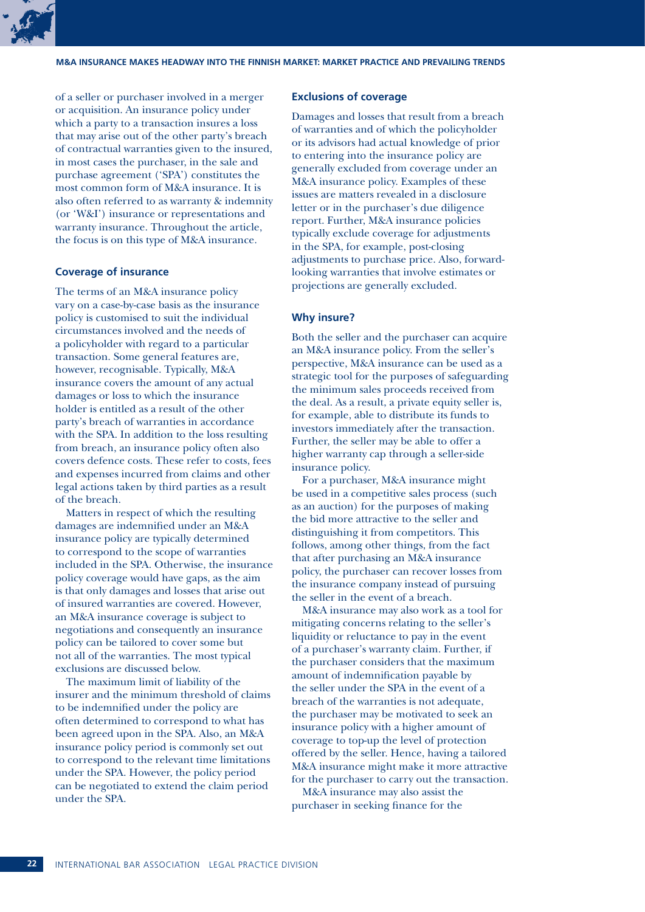

of a seller or purchaser involved in a merger or acquisition. An insurance policy under which a party to a transaction insures a loss that may arise out of the other party's breach of contractual warranties given to the insured, in most cases the purchaser, in the sale and purchase agreement ('SPA') constitutes the most common form of M&A insurance. It is also often referred to as warranty & indemnity (or 'W&I') insurance or representations and warranty insurance. Throughout the article, the focus is on this type of M&A insurance.

#### **Coverage of insurance**

The terms of an M&A insurance policy vary on a case-by-case basis as the insurance policy is customised to suit the individual circumstances involved and the needs of a policyholder with regard to a particular transaction. Some general features are, however, recognisable. Typically, M&A insurance covers the amount of any actual damages or loss to which the insurance holder is entitled as a result of the other party's breach of warranties in accordance with the SPA. In addition to the loss resulting from breach, an insurance policy often also covers defence costs. These refer to costs, fees and expenses incurred from claims and other legal actions taken by third parties as a result of the breach.

Matters in respect of which the resulting damages are indemnified under an M&A insurance policy are typically determined to correspond to the scope of warranties included in the SPA. Otherwise, the insurance policy coverage would have gaps, as the aim is that only damages and losses that arise out of insured warranties are covered. However, an M&A insurance coverage is subject to negotiations and consequently an insurance policy can be tailored to cover some but not all of the warranties. The most typical exclusions are discussed below.

The maximum limit of liability of the insurer and the minimum threshold of claims to be indemnified under the policy are often determined to correspond to what has been agreed upon in the SPA. Also, an M&A insurance policy period is commonly set out to correspond to the relevant time limitations under the SPA. However, the policy period can be negotiated to extend the claim period under the SPA.

#### **Exclusions of coverage**

Damages and losses that result from a breach of warranties and of which the policyholder or its advisors had actual knowledge of prior to entering into the insurance policy are generally excluded from coverage under an M&A insurance policy. Examples of these issues are matters revealed in a disclosure letter or in the purchaser's due diligence report. Further, M&A insurance policies typically exclude coverage for adjustments in the SPA, for example, post-closing adjustments to purchase price. Also, forwardlooking warranties that involve estimates or projections are generally excluded.

#### **Why insure?**

Both the seller and the purchaser can acquire an M&A insurance policy. From the seller's perspective, M&A insurance can be used as a strategic tool for the purposes of safeguarding the minimum sales proceeds received from the deal. As a result, a private equity seller is, for example, able to distribute its funds to investors immediately after the transaction. Further, the seller may be able to offer a higher warranty cap through a seller-side insurance policy.

For a purchaser, M&A insurance might be used in a competitive sales process (such as an auction) for the purposes of making the bid more attractive to the seller and distinguishing it from competitors. This follows, among other things, from the fact that after purchasing an M&A insurance policy, the purchaser can recover losses from the insurance company instead of pursuing the seller in the event of a breach.

M&A insurance may also work as a tool for mitigating concerns relating to the seller's liquidity or reluctance to pay in the event of a purchaser's warranty claim. Further, if the purchaser considers that the maximum amount of indemnification payable by the seller under the SPA in the event of a breach of the warranties is not adequate, the purchaser may be motivated to seek an insurance policy with a higher amount of coverage to top-up the level of protection offered by the seller. Hence, having a tailored M&A insurance might make it more attractive for the purchaser to carry out the transaction.

M&A insurance may also assist the purchaser in seeking finance for the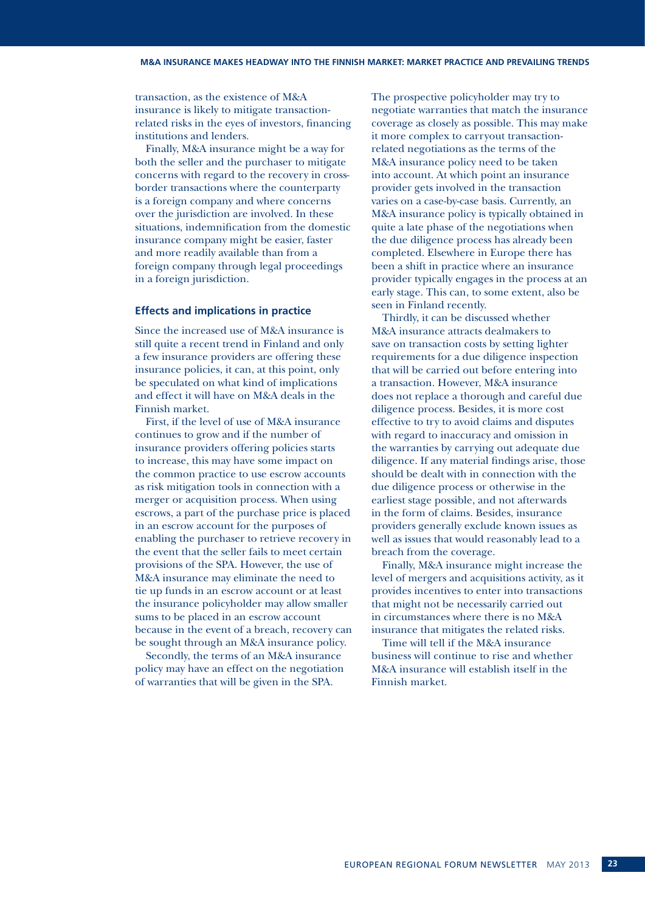transaction, as the existence of M&A insurance is likely to mitigate transactionrelated risks in the eyes of investors, financing institutions and lenders.

Finally, M&A insurance might be a way for both the seller and the purchaser to mitigate concerns with regard to the recovery in crossborder transactions where the counterparty is a foreign company and where concerns over the jurisdiction are involved. In these situations, indemnification from the domestic insurance company might be easier, faster and more readily available than from a foreign company through legal proceedings in a foreign jurisdiction.

#### **Effects and implications in practice**

Since the increased use of M&A insurance is still quite a recent trend in Finland and only a few insurance providers are offering these insurance policies, it can, at this point, only be speculated on what kind of implications and effect it will have on M&A deals in the Finnish market.

First, if the level of use of M&A insurance continues to grow and if the number of insurance providers offering policies starts to increase, this may have some impact on the common practice to use escrow accounts as risk mitigation tools in connection with a merger or acquisition process. When using escrows, a part of the purchase price is placed in an escrow account for the purposes of enabling the purchaser to retrieve recovery in the event that the seller fails to meet certain provisions of the SPA. However, the use of M&A insurance may eliminate the need to tie up funds in an escrow account or at least the insurance policyholder may allow smaller sums to be placed in an escrow account because in the event of a breach, recovery can be sought through an M&A insurance policy.

Secondly, the terms of an M&A insurance policy may have an effect on the negotiation of warranties that will be given in the SPA.

The prospective policyholder may try to negotiate warranties that match the insurance coverage as closely as possible. This may make it more complex to carryout transactionrelated negotiations as the terms of the M&A insurance policy need to be taken into account. At which point an insurance provider gets involved in the transaction varies on a case-by-case basis. Currently, an M&A insurance policy is typically obtained in quite a late phase of the negotiations when the due diligence process has already been completed. Elsewhere in Europe there has been a shift in practice where an insurance provider typically engages in the process at an early stage. This can, to some extent, also be seen in Finland recently.

Thirdly, it can be discussed whether M&A insurance attracts dealmakers to save on transaction costs by setting lighter requirements for a due diligence inspection that will be carried out before entering into a transaction. However, M&A insurance does not replace a thorough and careful due diligence process. Besides, it is more cost effective to try to avoid claims and disputes with regard to inaccuracy and omission in the warranties by carrying out adequate due diligence. If any material findings arise, those should be dealt with in connection with the due diligence process or otherwise in the earliest stage possible, and not afterwards in the form of claims. Besides, insurance providers generally exclude known issues as well as issues that would reasonably lead to a breach from the coverage.

Finally, M&A insurance might increase the level of mergers and acquisitions activity, as it provides incentives to enter into transactions that might not be necessarily carried out in circumstances where there is no M&A insurance that mitigates the related risks.

Time will tell if the M&A insurance business will continue to rise and whether M&A insurance will establish itself in the Finnish market.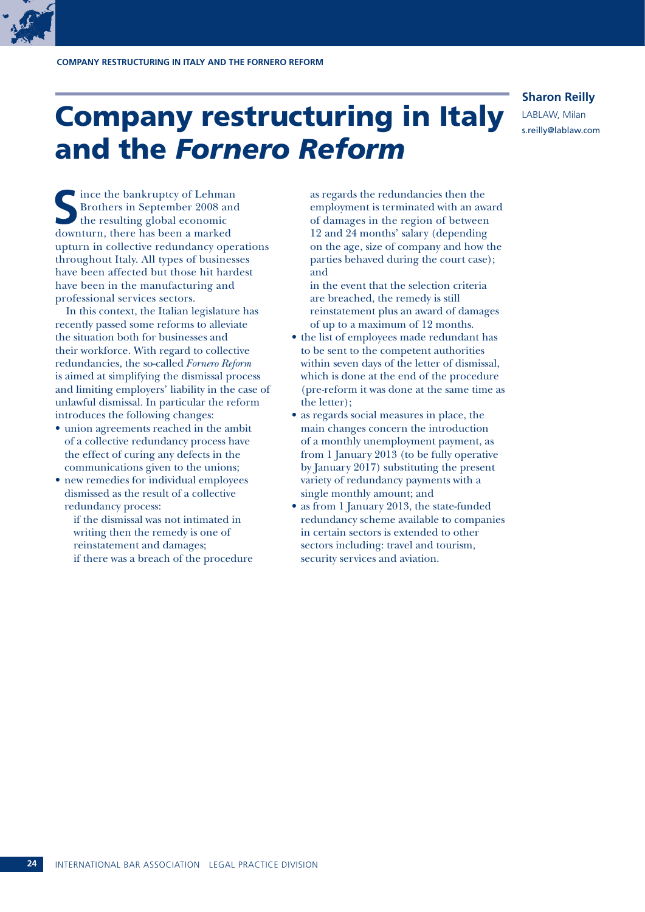### Company restructuring in Italy and the *Fornero Reform*

#### **Sharon Reilly**

LABLAW, Milan s.reilly@lablaw.com

**I** ince the bankruptcy of Lehman Brothers in September 2008 and the resulting global economic downturn, there has been a marked upturn in collective redundancy operations throughout Italy. All types of businesses have been affected but those hit hardest have been in the manufacturing and professional services sectors.

In this context, the Italian legislature has recently passed some reforms to alleviate the situation both for businesses and their workforce. With regard to collective redundancies, the so-called *Fornero Reform* is aimed at simplifying the dismissal process and limiting employers' liability in the case of unlawful dismissal. In particular the reform introduces the following changes:

- union agreements reached in the ambit of a collective redundancy process have the effect of curing any defects in the communications given to the unions;
- new remedies for individual employees dismissed as the result of a collective redundancy process:

if the dismissal was not intimated in writing then the remedy is one of reinstatement and damages; if there was a breach of the procedure as regards the redundancies then the employment is terminated with an award of damages in the region of between 12 and 24 months' salary (depending on the age, size of company and how the parties behaved during the court case); and

in the event that the selection criteria are breached, the remedy is still reinstatement plus an award of damages of up to a maximum of 12 months.

- the list of employees made redundant has to be sent to the competent authorities within seven days of the letter of dismissal, which is done at the end of the procedure (pre-reform it was done at the same time as the letter);
- as regards social measures in place, the main changes concern the introduction of a monthly unemployment payment, as from 1 January 2013 (to be fully operative by January 2017) substituting the present variety of redundancy payments with a single monthly amount; and
- as from 1 January 2013, the state-funded redundancy scheme available to companies in certain sectors is extended to other sectors including: travel and tourism, security services and aviation.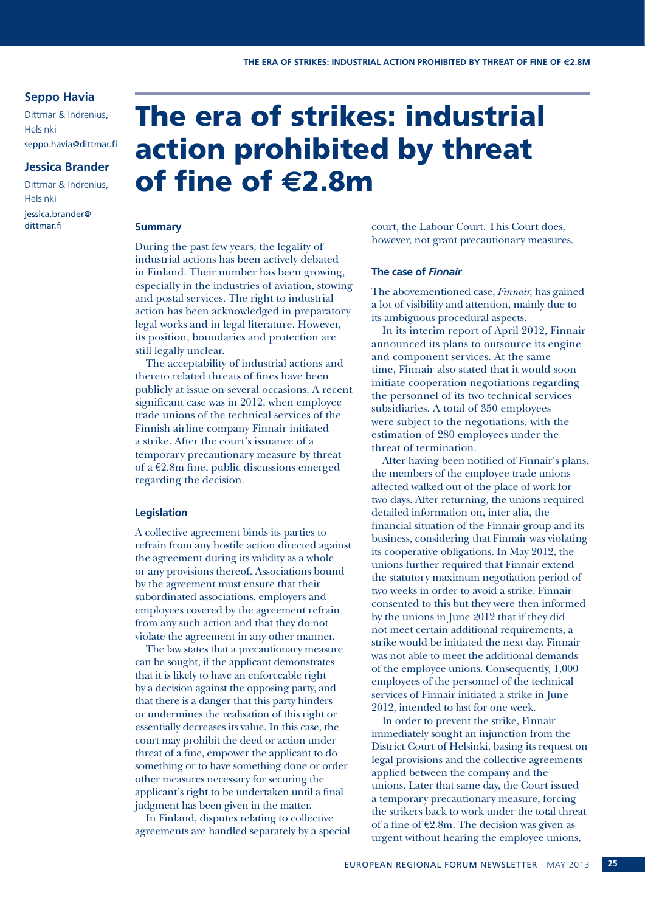#### **Seppo Havia**

Dittmar & Indrenius, Helsinki seppo.havia@dittmar.fi

#### **Jessica Brander**

Dittmar & Indrenius, Helsinki jessica.brander@ dittmar.fi

### The era of strikes: industrial action prohibited by threat of fine of **e**2.8m

#### **Summary**

During the past few years, the legality of industrial actions has been actively debated in Finland. Their number has been growing, especially in the industries of aviation, stowing and postal services. The right to industrial action has been acknowledged in preparatory legal works and in legal literature. However, its position, boundaries and protection are still legally unclear.

The acceptability of industrial actions and thereto related threats of fines have been publicly at issue on several occasions. A recent significant case was in 2012, when employee trade unions of the technical services of the Finnish airline company Finnair initiated a strike. After the court's issuance of a temporary precautionary measure by threat of a  $E2.8m$  fine, public discussions emerged regarding the decision.

#### **Legislation**

A collective agreement binds its parties to refrain from any hostile action directed against the agreement during its validity as a whole or any provisions thereof. Associations bound by the agreement must ensure that their subordinated associations, employers and employees covered by the agreement refrain from any such action and that they do not violate the agreement in any other manner.

The law states that a precautionary measure can be sought, if the applicant demonstrates that it is likely to have an enforceable right by a decision against the opposing party, and that there is a danger that this party hinders or undermines the realisation of this right or essentially decreases its value. In this case, the court may prohibit the deed or action under threat of a fine, empower the applicant to do something or to have something done or order other measures necessary for securing the applicant's right to be undertaken until a final judgment has been given in the matter.

In Finland, disputes relating to collective agreements are handled separately by a special court, the Labour Court. This Court does, however, not grant precautionary measures.

#### **The case of** *Finnair*

The abovementioned case, *Finnair*, has gained a lot of visibility and attention, mainly due to its ambiguous procedural aspects.

In its interim report of April 2012, Finnair announced its plans to outsource its engine and component services. At the same time, Finnair also stated that it would soon initiate cooperation negotiations regarding the personnel of its two technical services subsidiaries. A total of 350 employees were subject to the negotiations, with the estimation of 280 employees under the threat of termination.

After having been notified of Finnair's plans, the members of the employee trade unions affected walked out of the place of work for two days. After returning, the unions required detailed information on, inter alia, the financial situation of the Finnair group and its business, considering that Finnair was violating its cooperative obligations. In May 2012, the unions further required that Finnair extend the statutory maximum negotiation period of two weeks in order to avoid a strike. Finnair consented to this but they were then informed by the unions in June 2012 that if they did not meet certain additional requirements, a strike would be initiated the next day. Finnair was not able to meet the additional demands of the employee unions. Consequently, 1,000 employees of the personnel of the technical services of Finnair initiated a strike in June 2012, intended to last for one week.

In order to prevent the strike, Finnair immediately sought an injunction from the District Court of Helsinki, basing its request on legal provisions and the collective agreements applied between the company and the unions. Later that same day, the Court issued a temporary precautionary measure, forcing the strikers back to work under the total threat of a fine of  $E2.8m$ . The decision was given as urgent without hearing the employee unions,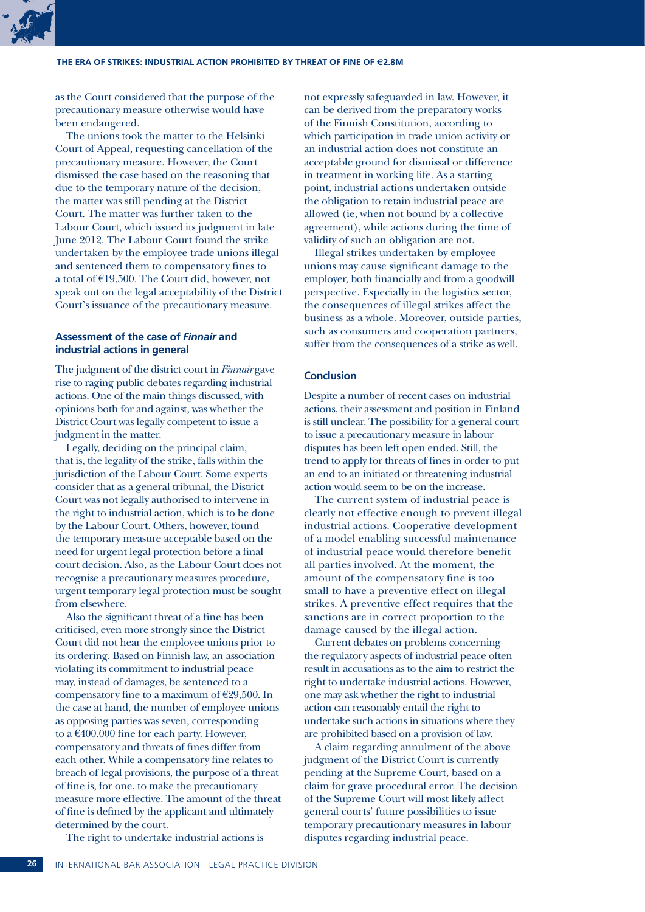as the Court considered that the purpose of the precautionary measure otherwise would have been endangered.

The unions took the matter to the Helsinki Court of Appeal, requesting cancellation of the precautionary measure. However, the Court dismissed the case based on the reasoning that due to the temporary nature of the decision, the matter was still pending at the District Court. The matter was further taken to the Labour Court, which issued its judgment in late June 2012. The Labour Court found the strike undertaken by the employee trade unions illegal and sentenced them to compensatory fines to a total of  $E19,500$ . The Court did, however, not speak out on the legal acceptability of the District Court's issuance of the precautionary measure.

#### **Assessment of the case of** *Finnair* **and industrial actions in general**

The judgment of the district court in *Finnair* gave rise to raging public debates regarding industrial actions. One of the main things discussed, with opinions both for and against, was whether the District Court was legally competent to issue a judgment in the matter.

Legally, deciding on the principal claim, that is, the legality of the strike, falls within the jurisdiction of the Labour Court. Some experts consider that as a general tribunal, the District Court was not legally authorised to intervene in the right to industrial action, which is to be done by the Labour Court. Others, however, found the temporary measure acceptable based on the need for urgent legal protection before a final court decision. Also, as the Labour Court does not recognise a precautionary measures procedure, urgent temporary legal protection must be sought from elsewhere.

Also the significant threat of a fine has been criticised, even more strongly since the District Court did not hear the employee unions prior to its ordering. Based on Finnish law, an association violating its commitment to industrial peace may, instead of damages, be sentenced to a compensatory fine to a maximum of  $E29,500$ . In the case at hand, the number of employee unions as opposing parties was seven, corresponding to a  $\text{\textsterling}400,000$  fine for each party. However, compensatory and threats of fines differ from each other. While a compensatory fine relates to breach of legal provisions, the purpose of a threat of fine is, for one, to make the precautionary measure more effective. The amount of the threat of fine is defined by the applicant and ultimately determined by the court.

The right to undertake industrial actions is

not expressly safeguarded in law. However, it can be derived from the preparatory works of the Finnish Constitution, according to which participation in trade union activity or an industrial action does not constitute an acceptable ground for dismissal or difference in treatment in working life. As a starting point, industrial actions undertaken outside the obligation to retain industrial peace are allowed (ie, when not bound by a collective agreement), while actions during the time of validity of such an obligation are not.

Illegal strikes undertaken by employee unions may cause significant damage to the employer, both financially and from a goodwill perspective. Especially in the logistics sector, the consequences of illegal strikes affect the business as a whole. Moreover, outside parties, such as consumers and cooperation partners, suffer from the consequences of a strike as well.

#### **Conclusion**

Despite a number of recent cases on industrial actions, their assessment and position in Finland is still unclear. The possibility for a general court to issue a precautionary measure in labour disputes has been left open ended. Still, the trend to apply for threats of fines in order to put an end to an initiated or threatening industrial action would seem to be on the increase.

The current system of industrial peace is clearly not effective enough to prevent illegal industrial actions. Cooperative development of a model enabling successful maintenance of industrial peace would therefore benefit all parties involved. At the moment, the amount of the compensatory fine is too small to have a preventive effect on illegal strikes. A preventive effect requires that the sanctions are in correct proportion to the damage caused by the illegal action.

Current debates on problems concerning the regulatory aspects of industrial peace often result in accusations as to the aim to restrict the right to undertake industrial actions. However, one may ask whether the right to industrial action can reasonably entail the right to undertake such actions in situations where they are prohibited based on a provision of law.

A claim regarding annulment of the above judgment of the District Court is currently pending at the Supreme Court, based on a claim for grave procedural error. The decision of the Supreme Court will most likely affect general courts' future possibilities to issue temporary precautionary measures in labour disputes regarding industrial peace.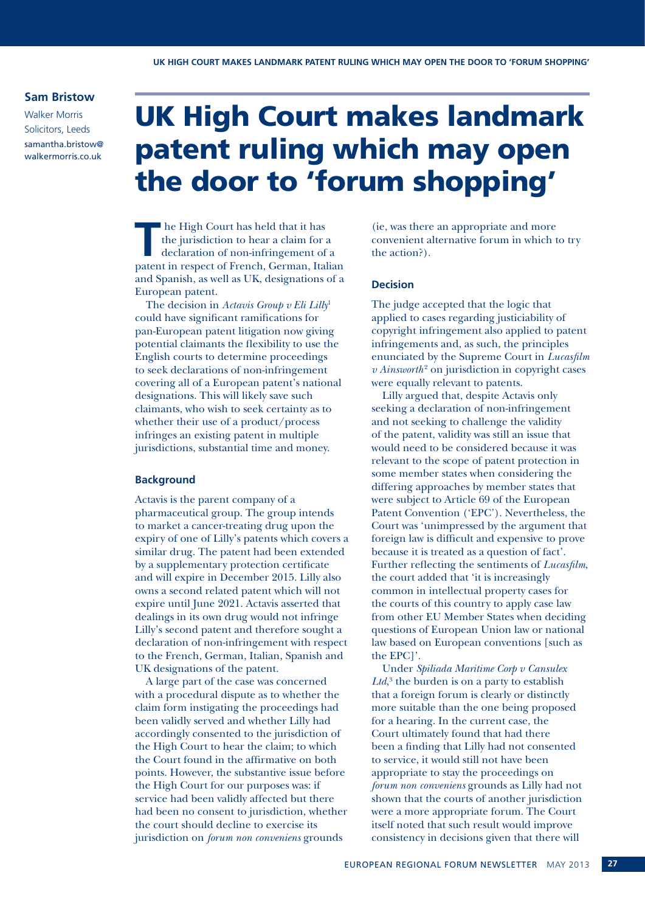#### **Sam Bristow**

Walker Morris Solicitors, Leeds samantha.bristow@ walkermorris.co.uk

### UK High Court makes landmark patent ruling which may open the door to 'forum shopping'

**T** he High Court has held that it has the jurisdiction to hear a claim for a declaration of non-infringement of a natural in regnesive former. the jurisdiction to hear a claim for a patent in respect of French, German, Italian and Spanish, as well as UK, designations of a European patent.

The decision in *Actavis Group v Eli Lilly*<sup>1</sup> could have significant ramifications for pan-European patent litigation now giving potential claimants the flexibility to use the English courts to determine proceedings to seek declarations of non-infringement covering all of a European patent's national designations. This will likely save such claimants, who wish to seek certainty as to whether their use of a product/process infringes an existing patent in multiple jurisdictions, substantial time and money.

#### **Background**

Actavis is the parent company of a pharmaceutical group. The group intends to market a cancer-treating drug upon the expiry of one of Lilly's patents which covers a similar drug. The patent had been extended by a supplementary protection certificate and will expire in December 2015. Lilly also owns a second related patent which will not expire until June 2021. Actavis asserted that dealings in its own drug would not infringe Lilly's second patent and therefore sought a declaration of non-infringement with respect to the French, German, Italian, Spanish and UK designations of the patent.

A large part of the case was concerned with a procedural dispute as to whether the claim form instigating the proceedings had been validly served and whether Lilly had accordingly consented to the jurisdiction of the High Court to hear the claim; to which the Court found in the affirmative on both points. However, the substantive issue before the High Court for our purposes was: if service had been validly affected but there had been no consent to jurisdiction, whether the court should decline to exercise its jurisdiction on *forum non conveniens* grounds

(ie, was there an appropriate and more convenient alternative forum in which to try the action?).

#### **Decision**

The judge accepted that the logic that applied to cases regarding justiciability of copyright infringement also applied to patent infringements and, as such, the principles enunciated by the Supreme Court in *Lucasfilm v* Ainsworth<sup>2</sup> on jurisdiction in copyright cases were equally relevant to patents.

Lilly argued that, despite Actavis only seeking a declaration of non-infringement and not seeking to challenge the validity of the patent, validity was still an issue that would need to be considered because it was relevant to the scope of patent protection in some member states when considering the differing approaches by member states that were subject to Article 69 of the European Patent Convention ('EPC'). Nevertheless, the Court was 'unimpressed by the argument that foreign law is difficult and expensive to prove because it is treated as a question of fact'. Further reflecting the sentiments of *Lucasfilm*, the court added that 'it is increasingly common in intellectual property cases for the courts of this country to apply case law from other EU Member States when deciding questions of European Union law or national law based on European conventions [such as the EPC]'.

Under *Spiliada Maritime Corp v Cansulex Ltd*, <sup>3</sup> the burden is on a party to establish that a foreign forum is clearly or distinctly more suitable than the one being proposed for a hearing. In the current case, the Court ultimately found that had there been a finding that Lilly had not consented to service, it would still not have been appropriate to stay the proceedings on *forum non conveniens* grounds as Lilly had not shown that the courts of another jurisdiction were a more appropriate forum. The Court itself noted that such result would improve consistency in decisions given that there will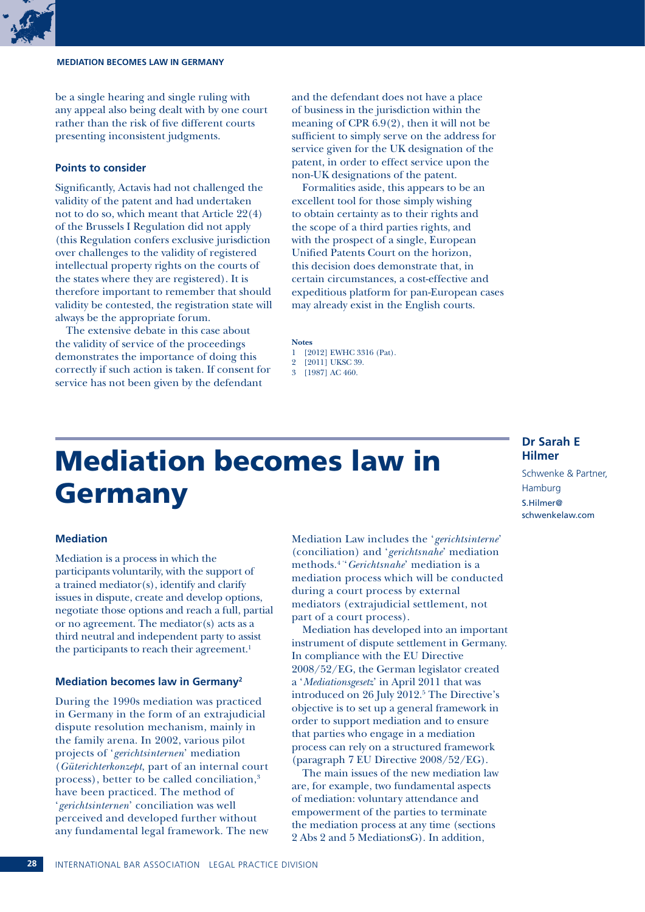be a single hearing and single ruling with any appeal also being dealt with by one court rather than the risk of five different courts presenting inconsistent judgments.

#### **Points to consider**

Significantly, Actavis had not challenged the validity of the patent and had undertaken not to do so, which meant that Article 22(4) of the Brussels I Regulation did not apply (this Regulation confers exclusive jurisdiction over challenges to the validity of registered intellectual property rights on the courts of the states where they are registered). It is therefore important to remember that should validity be contested, the registration state will always be the appropriate forum.

The extensive debate in this case about the validity of service of the proceedings demonstrates the importance of doing this correctly if such action is taken. If consent for service has not been given by the defendant

and the defendant does not have a place of business in the jurisdiction within the meaning of CPR 6.9(2), then it will not be sufficient to simply serve on the address for service given for the UK designation of the patent, in order to effect service upon the non-UK designations of the patent.

Formalities aside, this appears to be an excellent tool for those simply wishing to obtain certainty as to their rights and the scope of a third parties rights, and with the prospect of a single, European Unified Patents Court on the horizon, this decision does demonstrate that, in certain circumstances, a cost-effective and expeditious platform for pan-European cases may already exist in the English courts.

#### **Notes**

- 1 [2012] EWHC 3316 (Pat).
- 2 [2011] UKSC 39.
- 3 [1987] AC 460.

### Mediation becomes law in Germany

#### **Mediation**

Mediation is a process in which the participants voluntarily, with the support of a trained mediator(s), identify and clarify issues in dispute, create and develop options, negotiate those options and reach a full, partial or no agreement. The mediator(s) acts as a third neutral and independent party to assist the participants to reach their agreement.<sup>1</sup>

#### **Mediation becomes law in Germany2**

During the 1990s mediation was practiced in Germany in the form of an extrajudicial dispute resolution mechanism, mainly in the family arena. In 2002, various pilot projects of '*gerichtsinternen*' mediation (*Güterichterkonzept*, part of an internal court process), better to be called conciliation,<sup>3</sup> have been practiced. The method of '*gerichtsinternen*' conciliation was well perceived and developed further without any fundamental legal framework. The new Mediation Law includes the '*gerichtsinterne*' (conciliation) and '*gerichtsnahe*' mediation methods.4 ''*Gerichtsnahe*' mediation is a mediation process which will be conducted during a court process by external mediators (extrajudicial settlement, not part of a court process).

Mediation has developed into an important instrument of dispute settlement in Germany. In compliance with the EU Directive 2008/52/EG, the German legislator created a '*Mediationsgesetz*' in April 2011 that was introduced on 26 July 2012.<sup>5</sup> The Directive's objective is to set up a general framework in order to support mediation and to ensure that parties who engage in a mediation process can rely on a structured framework (paragraph 7 EU Directive 2008/52/EG).

The main issues of the new mediation law are, for example, two fundamental aspects of mediation: voluntary attendance and empowerment of the parties to terminate the mediation process at any time (sections 2 Abs 2 and 5 MediationsG). In addition,

#### **Dr Sarah E Hilmer**

Schwenke & Partner, Hamburg S.Hilmer@ schwenkelaw.com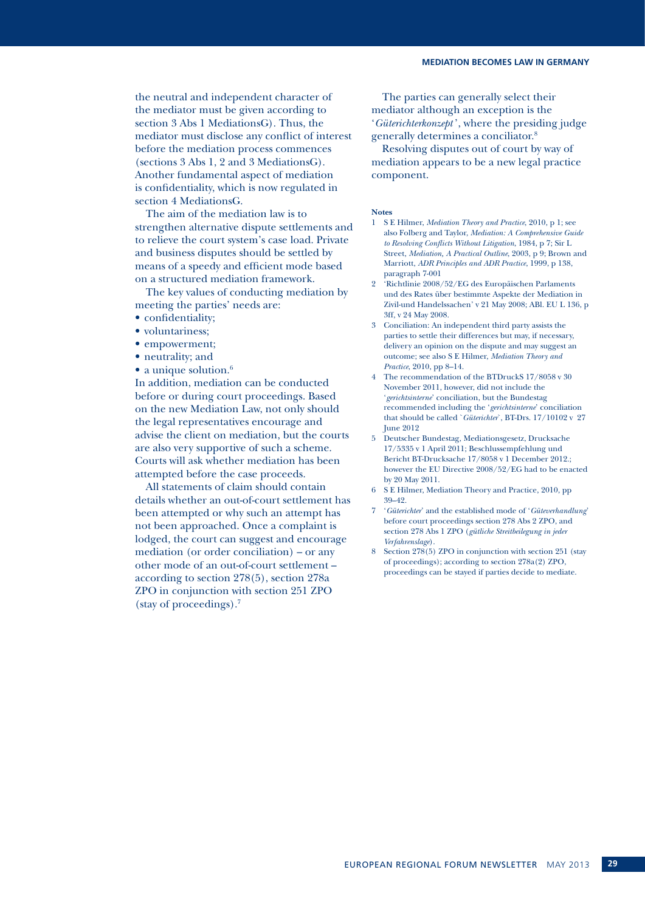the neutral and independent character of the mediator must be given according to section 3 Abs 1 MediationsG). Thus, the mediator must disclose any conflict of interest before the mediation process commences (sections 3 Abs 1, 2 and 3 MediationsG). Another fundamental aspect of mediation is confidentiality, which is now regulated in section 4 MediationsG.

The aim of the mediation law is to strengthen alternative dispute settlements and to relieve the court system's case load. Private and business disputes should be settled by means of a speedy and efficient mode based on a structured mediation framework.

The key values of conducting mediation by meeting the parties' needs are:

- confidentiality;
- voluntariness;
- empowerment;
- neutrality; and
- $\bullet$  a unique solution. $^6$

In addition, mediation can be conducted before or during court proceedings. Based on the new Mediation Law, not only should the legal representatives encourage and advise the client on mediation, but the courts are also very supportive of such a scheme. Courts will ask whether mediation has been attempted before the case proceeds.

All statements of claim should contain details whether an out-of-court settlement has been attempted or why such an attempt has not been approached. Once a complaint is lodged, the court can suggest and encourage mediation (or order conciliation) – or any other mode of an out-of-court settlement – according to section 278(5), section 278a ZPO in conjunction with section 251 ZPO (stay of proceedings).7

The parties can generally select their mediator although an exception is the '*Güterichterkonzept* ', where the presiding judge generally determines a conciliator.8

Resolving disputes out of court by way of mediation appears to be a new legal practice component.

#### **Notes**

- 1 S E Hilmer, *Mediation Theory and Practice*, 2010, p 1; see also Folberg and Taylor, *Mediation: A Comprehensive Guide to Resolving Conflicts Without Litigation*, 1984, p 7; Sir L Street, *Mediation, A Practical Outline*, 2003, p 9; Brown and Marriott, *ADR Principles and ADR Practice*, 1999, p 138, paragraph 7-001
- 2 'Richtlinie 2008/52/EG des Europäischen Parlaments und des Rates über bestimmte Aspekte der Mediation in Zivil-und Handelssachen' v 21 May 2008; ABl. EU L 136, p 3ff, v 24 May 2008.
- 3 Conciliation: An independent third party assists the parties to settle their differences but may, if necessary, delivery an opinion on the dispute and may suggest an outcome; see also S E Hilmer, *Mediation Theory and Practice*, 2010, pp 8–14.
- The recommendation of the BTDruckS 17/8058 v 30 November 2011, however, did not include the '*gerichtsinterne*' conciliation, but the Bundestag recommended including the '*gerichtsinterne*' conciliation that should be called `*Güterichter*`, BT-Drs. 17/10102 v 27 June 2012
- 5 Deutscher Bundestag, Mediationsgesetz, Drucksache 17/5335 v 1 April 2011; Beschlussempfehlung und Bericht BT-Drucksache 17/8058 v 1 December 2012.; however the EU Directive 2008/52/EG had to be enacted by 20 May 2011.
- 6 S E Hilmer, Mediation Theory and Practice, 2010, pp 39–42.
- 7 '*Güterichter*' and the established mode of '*Güteverhandlung*' before court proceedings section 278 Abs 2 ZPO, and section 278 Abs 1 ZPO (*gütliche Streitbeilegung in jeder Verfahrenslage*).
- 8 Section 278(5) ZPO in conjunction with section 251 (stay of proceedings); according to section 278a(2) ZPO, proceedings can be stayed if parties decide to mediate.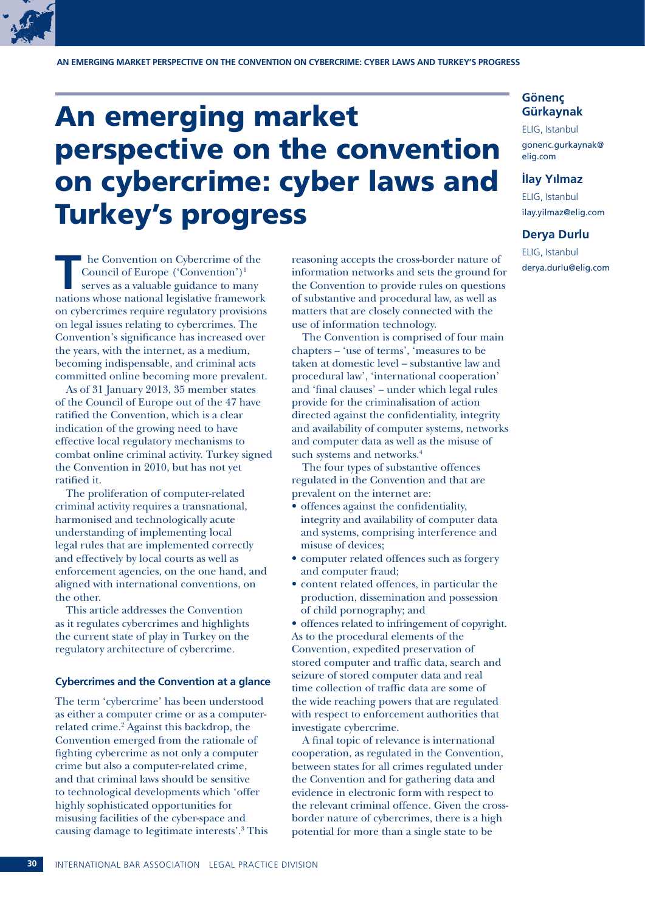### An emerging market perspective on the convention on cybercrime: cyber laws and Turkey's progress

**T** he Convention on Cybercrime of the Council of Europe ('Convention')1 serves as a valuable guidance to many nations whose national legislative framework on cybercrimes require regulatory provisions on legal issues relating to cybercrimes. The Convention's significance has increased over the years, with the internet, as a medium, becoming indispensable, and criminal acts committed online becoming more prevalent.

As of 31 January 2013, 35 member states of the Council of Europe out of the 47 have ratified the Convention, which is a clear indication of the growing need to have effective local regulatory mechanisms to combat online criminal activity. Turkey signed the Convention in 2010, but has not yet ratified it.

The proliferation of computer-related criminal activity requires a transnational, harmonised and technologically acute understanding of implementing local legal rules that are implemented correctly and effectively by local courts as well as enforcement agencies, on the one hand, and aligned with international conventions, on the other.

This article addresses the Convention as it regulates cybercrimes and highlights the current state of play in Turkey on the regulatory architecture of cybercrime.

#### **Cybercrimes and the Convention at a glance**

The term 'cybercrime' has been understood as either a computer crime or as a computerrelated crime.<sup>2</sup> Against this backdrop, the Convention emerged from the rationale of fighting cybercrime as not only a computer crime but also a computer-related crime, and that criminal laws should be sensitive to technological developments which 'offer highly sophisticated opportunities for misusing facilities of the cyber-space and causing damage to legitimate interests'.3 This reasoning accepts the cross-border nature of information networks and sets the ground for the Convention to provide rules on questions of substantive and procedural law, as well as matters that are closely connected with the use of information technology.

The Convention is comprised of four main chapters – 'use of terms', 'measures to be taken at domestic level – substantive law and procedural law', 'international cooperation' and 'final clauses' – under which legal rules provide for the criminalisation of action directed against the confidentiality, integrity and availability of computer systems, networks and computer data as well as the misuse of such systems and networks.<sup>4</sup>

The four types of substantive offences regulated in the Convention and that are prevalent on the internet are:

- offences against the confidentiality, integrity and availability of computer data and systems, comprising interference and misuse of devices;
- computer related offences such as forgery and computer fraud;
- • content related offences, in particular the production, dissemination and possession of child pornography; and

• offences related to infringement of copyright. As to the procedural elements of the Convention, expedited preservation of stored computer and traffic data, search and seizure of stored computer data and real time collection of traffic data are some of the wide reaching powers that are regulated with respect to enforcement authorities that investigate cybercrime.

A final topic of relevance is international cooperation, as regulated in the Convention, between states for all crimes regulated under the Convention and for gathering data and evidence in electronic form with respect to the relevant criminal offence. Given the crossborder nature of cybercrimes, there is a high potential for more than a single state to be

### ELIG, Istanbul

gonenc.gurkaynak@ elig.com

#### **İlay Yılmaz**

**Gönenç Gürkaynak**

ELIG, Istanbul ilay.yilmaz@elig.com

#### **Derya Durlu**

ELIG, Istanbul derya.durlu@elig.com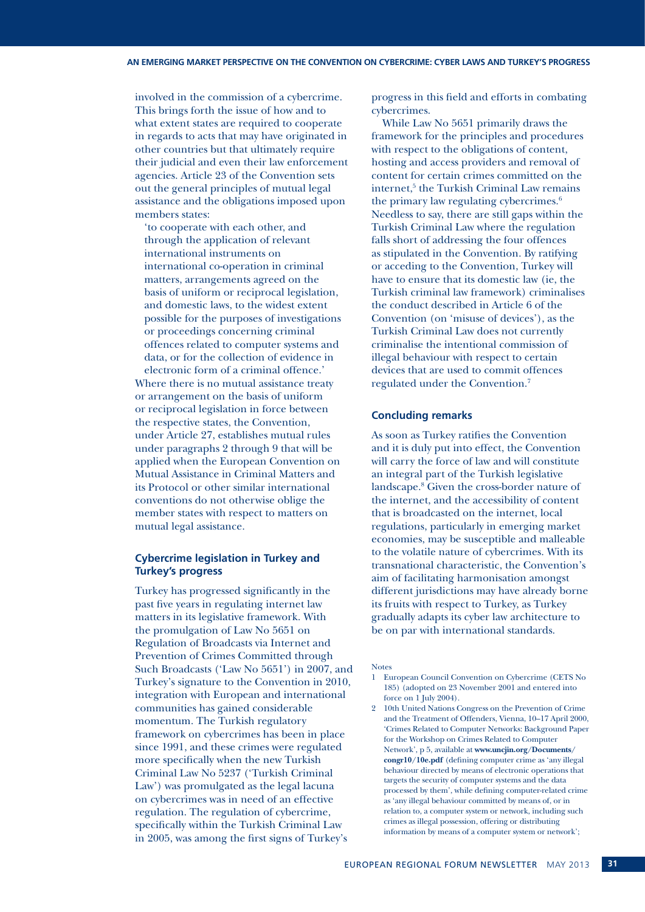involved in the commission of a cybercrime. This brings forth the issue of how and to what extent states are required to cooperate in regards to acts that may have originated in other countries but that ultimately require their judicial and even their law enforcement agencies. Article 23 of the Convention sets out the general principles of mutual legal assistance and the obligations imposed upon members states:

'to cooperate with each other, and through the application of relevant international instruments on international co-operation in criminal matters, arrangements agreed on the basis of uniform or reciprocal legislation, and domestic laws, to the widest extent possible for the purposes of investigations or proceedings concerning criminal offences related to computer systems and data, or for the collection of evidence in

electronic form of a criminal offence.' Where there is no mutual assistance treaty or arrangement on the basis of uniform or reciprocal legislation in force between the respective states, the Convention, under Article 27, establishes mutual rules under paragraphs 2 through 9 that will be applied when the European Convention on Mutual Assistance in Criminal Matters and its Protocol or other similar international conventions do not otherwise oblige the member states with respect to matters on mutual legal assistance.

#### **Cybercrime legislation in Turkey and Turkey's progress**

Turkey has progressed significantly in the past five years in regulating internet law matters in its legislative framework. With the promulgation of Law No 5651 on Regulation of Broadcasts via Internet and Prevention of Crimes Committed through Such Broadcasts ('Law No 5651') in 2007, and Turkey's signature to the Convention in 2010, integration with European and international communities has gained considerable momentum. The Turkish regulatory framework on cybercrimes has been in place since 1991, and these crimes were regulated more specifically when the new Turkish Criminal Law No 5237 ('Turkish Criminal Law') was promulgated as the legal lacuna on cybercrimes was in need of an effective regulation. The regulation of cybercrime, specifically within the Turkish Criminal Law in 2005, was among the first signs of Turkey's

progress in this field and efforts in combating cybercrimes.

While Law No 5651 primarily draws the framework for the principles and procedures with respect to the obligations of content, hosting and access providers and removal of content for certain crimes committed on the internet,<sup>5</sup> the Turkish Criminal Law remains the primary law regulating cybercrimes.6 Needless to say, there are still gaps within the Turkish Criminal Law where the regulation falls short of addressing the four offences as stipulated in the Convention. By ratifying or acceding to the Convention, Turkey will have to ensure that its domestic law (ie, the Turkish criminal law framework) criminalises the conduct described in Article 6 of the Convention (on 'misuse of devices'), as the Turkish Criminal Law does not currently criminalise the intentional commission of illegal behaviour with respect to certain devices that are used to commit offences regulated under the Convention.7

#### **Concluding remarks**

As soon as Turkey ratifies the Convention and it is duly put into effect, the Convention will carry the force of law and will constitute an integral part of the Turkish legislative landscape.8 Given the cross-border nature of the internet, and the accessibility of content that is broadcasted on the internet, local regulations, particularly in emerging market economies, may be susceptible and malleable to the volatile nature of cybercrimes. With its transnational characteristic, the Convention's aim of facilitating harmonisation amongst different jurisdictions may have already borne its fruits with respect to Turkey, as Turkey gradually adapts its cyber law architecture to be on par with international standards.

#### Notes

- 1 European Council Convention on Cybercrime (CETS No 185) (adopted on 23 November 2001 and entered into force on 1 July 2004).
- 2 10th United Nations Congress on the Prevention of Crime and the Treatment of Offenders, Vienna, 10–17 April 2000, 'Crimes Related to Computer Networks: Background Paper for the Workshop on Crimes Related to Computer Network', p 5, available at **www.uncjin.org/Documents/ congr10/10e.pdf** (defining computer crime as 'any illegal behaviour directed by means of electronic operations that targets the security of computer systems and the data processed by them', while defining computer-related crime as 'any illegal behaviour committed by means of, or in relation to, a computer system or network, including such crimes as illegal possession, offering or distributing information by means of a computer system or network';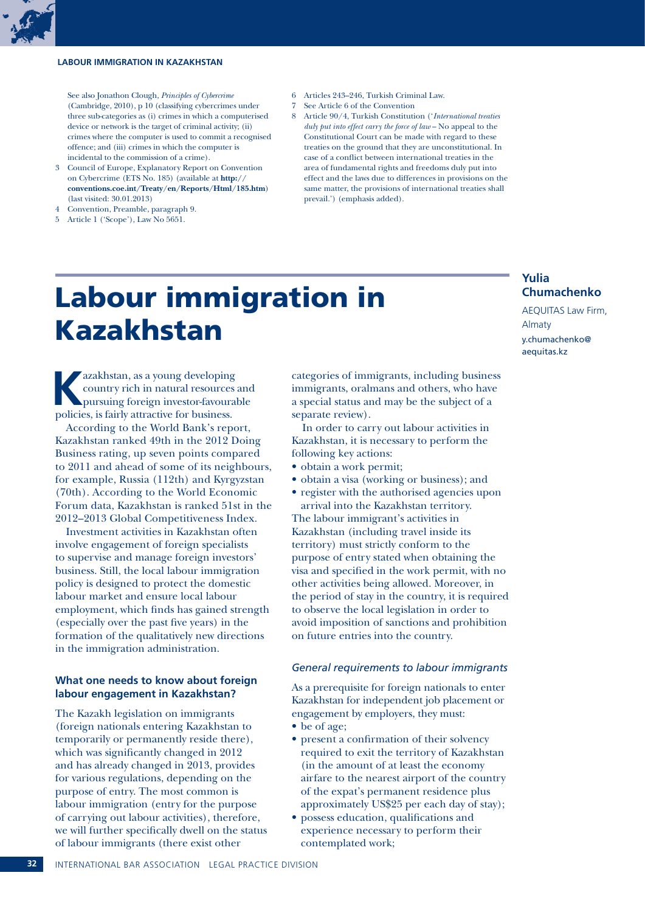#### **Labour immigration in Kazakhstan**



- 3 Council of Europe, Explanatory Report on Convention on Cybercrime (ETS No. 185) (available at **http:// conventions.coe.int/Treaty/en/Reports/Html/185.htm**) (last visited: 30.01.2013)
- 4 Convention, Preamble, paragraph 9.
- 5 Article 1 ('Scope'), Law No 5651.
- 6 Articles 243–246, Turkish Criminal Law.
- 7 See Article 6 of the Convention
- 8 Article 90/4, Turkish Constitution ('*International treaties duly put into effect carry the force of law* – No appeal to the Constitutional Court can be made with regard to these treaties on the ground that they are unconstitutional. In case of a conflict between international treaties in the area of fundamental rights and freedoms duly put into effect and the laws due to differences in provisions on the same matter, the provisions of international treaties shall prevail.') (emphasis added).

### Labour immigration in Kazakhstan

**Kazakhstan, as a young developing<br>
country rich in natural resources and<br>
pursuing foreign investor-favourable<br>
politics is fairly attractive for business** country rich in natural resources and policies, is fairly attractive for business.

According to the World Bank's report, Kazakhstan ranked 49th in the 2012 Doing Business rating, up seven points compared to 2011 and ahead of some of its neighbours, for example, Russia (112th) and Kyrgyzstan (70th). According to the World Economic Forum data, Kazakhstan is ranked 51st in the 2012–2013 Global Competitiveness Index.

Investment activities in Kazakhstan often involve engagement of foreign specialists to supervise and manage foreign investors' business. Still, the local labour immigration policy is designed to protect the domestic labour market and ensure local labour employment, which finds has gained strength (especially over the past five years) in the formation of the qualitatively new directions in the immigration administration.

#### **What one needs to know about foreign labour engagement in Kazakhstan?**

The Kazakh legislation on immigrants (foreign nationals entering Kazakhstan to temporarily or permanently reside there), which was significantly changed in 2012 and has already changed in 2013, provides for various regulations, depending on the purpose of entry. The most common is labour immigration (entry for the purpose of carrying out labour activities), therefore, we will further specifically dwell on the status of labour immigrants (there exist other

categories of immigrants, including business immigrants, oralmans and others, who have a special status and may be the subject of a separate review).

In order to carry out labour activities in Kazakhstan, it is necessary to perform the following key actions:

- obtain a work permit;
- • obtain a visa (working or business); and
- register with the authorised agencies upon arrival into the Kazakhstan territory. The labour immigrant's activities in Kazakhstan (including travel inside its

territory) must strictly conform to the purpose of entry stated when obtaining the visa and specified in the work permit, with no other activities being allowed. Moreover, in the period of stay in the country, it is required to observe the local legislation in order to avoid imposition of sanctions and prohibition on future entries into the country.

#### *General requirements to labour immigrants*

As a prerequisite for foreign nationals to enter Kazakhstan for independent job placement or engagement by employers, they must:

- be of age;
- • present a confirmation of their solvency required to exit the territory of Kazakhstan (in the amount of at least the economy airfare to the nearest airport of the country of the expat's permanent residence plus approximately US\$25 per each day of stay);
- possess education, qualifications and experience necessary to perform their contemplated work;

#### **32** International Bar Association Legal Practice Division

**Chumachenko** AEQUITAS Law Firm, Almaty

**Yulia** 

y.chumachenko@ aequitas.kz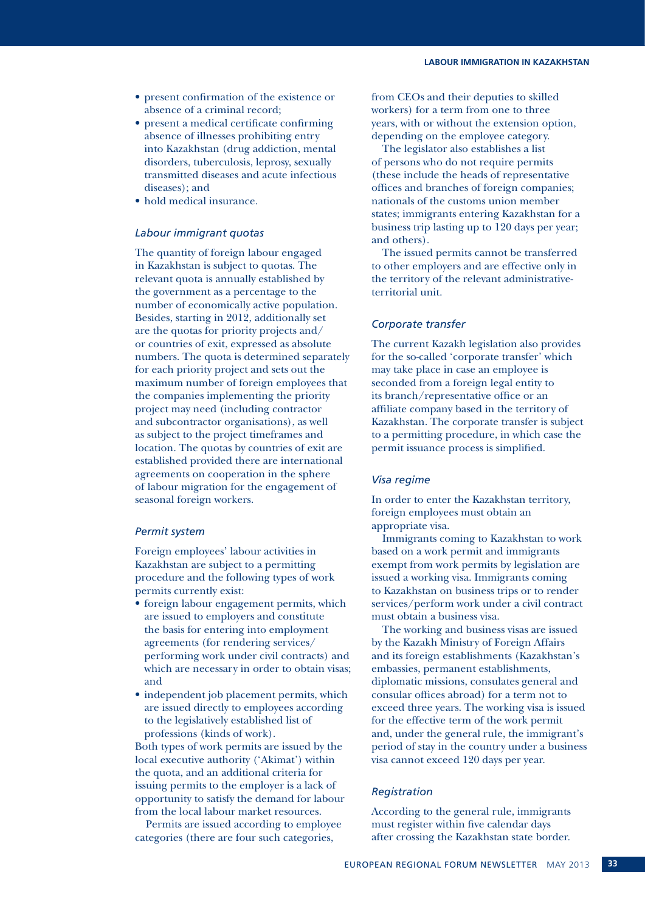- • present confirmation of the existence or absence of a criminal record;
- present a medical certificate confirming absence of illnesses prohibiting entry into Kazakhstan (drug addiction, mental disorders, tuberculosis, leprosy, sexually transmitted diseases and acute infectious diseases); and
- hold medical insurance.

#### *Labour immigrant quotas*

The quantity of foreign labour engaged in Kazakhstan is subject to quotas. The relevant quota is annually established by the government as a percentage to the number of economically active population. Besides, starting in 2012, additionally set are the quotas for priority projects and/ or countries of exit, expressed as absolute numbers. The quota is determined separately for each priority project and sets out the maximum number of foreign employees that the companies implementing the priority project may need (including contractor and subcontractor organisations), as well as subject to the project timeframes and location. The quotas by countries of exit are established provided there are international agreements on cooperation in the sphere of labour migration for the engagement of seasonal foreign workers.

#### *Permit system*

Foreign employees' labour activities in Kazakhstan are subject to a permitting procedure and the following types of work permits currently exist:

- foreign labour engagement permits, which are issued to employers and constitute the basis for entering into employment agreements (for rendering services/ performing work under civil contracts) and which are necessary in order to obtain visas; and
- independent job placement permits, which are issued directly to employees according to the legislatively established list of professions (kinds of work).

Both types of work permits are issued by the local executive authority ('Akimat') within the quota, and an additional criteria for issuing permits to the employer is a lack of opportunity to satisfy the demand for labour from the local labour market resources.

Permits are issued according to employee categories (there are four such categories,

from CEOs and their deputies to skilled workers) for a term from one to three years, with or without the extension option, depending on the employee category.

The legislator also establishes a list of persons who do not require permits (these include the heads of representative offices and branches of foreign companies; nationals of the customs union member states; immigrants entering Kazakhstan for a business trip lasting up to 120 days per year; and others).

The issued permits cannot be transferred to other employers and are effective only in the territory of the relevant administrativeterritorial unit.

#### *Corporate transfer*

The current Kazakh legislation also provides for the so-called 'corporate transfer' which may take place in case an employee is seconded from a foreign legal entity to its branch/representative office or an affiliate company based in the territory of Kazakhstan. The corporate transfer is subject to a permitting procedure, in which case the permit issuance process is simplified.

#### *Visa regime*

In order to enter the Kazakhstan territory, foreign employees must obtain an appropriate visa.

Immigrants coming to Kazakhstan to work based on a work permit and immigrants exempt from work permits by legislation are issued a working visa. Immigrants coming to Kazakhstan on business trips or to render services/perform work under a civil contract must obtain a business visa.

The working and business visas are issued by the Kazakh Ministry of Foreign Affairs and its foreign establishments (Kazakhstan's embassies, permanent establishments, diplomatic missions, consulates general and consular offices abroad) for a term not to exceed three years. The working visa is issued for the effective term of the work permit and, under the general rule, the immigrant's period of stay in the country under a business visa cannot exceed 120 days per year.

#### *Registration*

According to the general rule, immigrants must register within five calendar days after crossing the Kazakhstan state border.